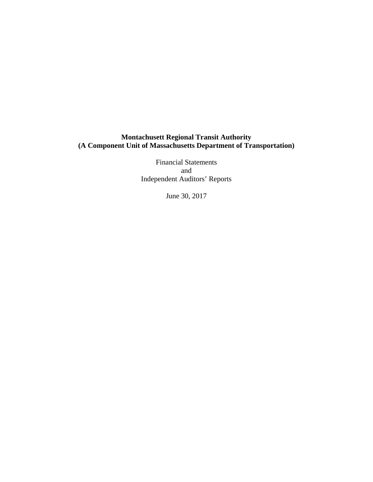## **Montachusett Regional Transit Authority (A Component Unit of Massachusetts Department of Transportation)**

Financial Statements and Independent Auditors' Reports

June 30, 2017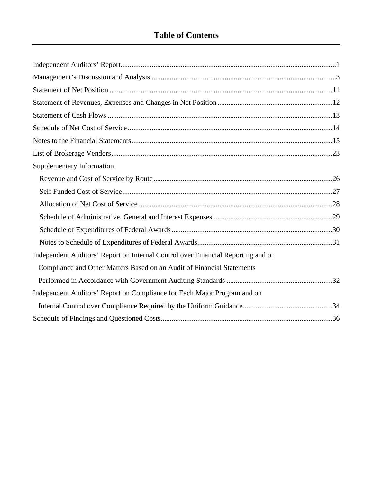| <b>Supplementary Information</b>                                                 |
|----------------------------------------------------------------------------------|
|                                                                                  |
|                                                                                  |
|                                                                                  |
|                                                                                  |
|                                                                                  |
|                                                                                  |
| Independent Auditors' Report on Internal Control over Financial Reporting and on |
| Compliance and Other Matters Based on an Audit of Financial Statements           |
|                                                                                  |
| Independent Auditors' Report on Compliance for Each Major Program and on         |
|                                                                                  |
|                                                                                  |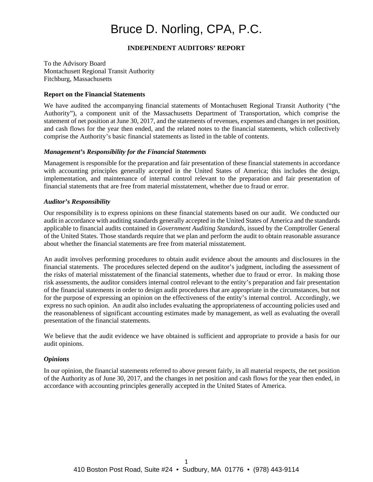# Bruce D. Norling, CPA, P.C.

#### **INDEPENDENT AUDITORS' REPORT**

To the Advisory Board Montachusett Regional Transit Authority Fitchburg, Massachusetts

#### **Report on the Financial Statements**

We have audited the accompanying financial statements of Montachusett Regional Transit Authority ("the Authority"), a component unit of the Massachusetts Department of Transportation, which comprise the statement of net position at June 30, 2017, and the statements of revenues, expenses and changes in net position, and cash flows for the year then ended, and the related notes to the financial statements, which collectively comprise the Authority's basic financial statements as listed in the table of contents.

#### *Management's Responsibility for the Financial Statements*

Management is responsible for the preparation and fair presentation of these financial statements in accordance with accounting principles generally accepted in the United States of America; this includes the design, implementation, and maintenance of internal control relevant to the preparation and fair presentation of financial statements that are free from material misstatement, whether due to fraud or error.

#### *Auditor's Responsibility*

Our responsibility is to express opinions on these financial statements based on our audit. We conducted our audit in accordance with auditing standards generally accepted in the United States of America and the standards applicable to financial audits contained in *Government Auditing Standards*, issued by the Comptroller General of the United States. Those standards require that we plan and perform the audit to obtain reasonable assurance about whether the financial statements are free from material misstatement.

An audit involves performing procedures to obtain audit evidence about the amounts and disclosures in the financial statements. The procedures selected depend on the auditor's judgment, including the assessment of the risks of material misstatement of the financial statements, whether due to fraud or error. In making those risk assessments, the auditor considers internal control relevant to the entity's preparation and fair presentation of the financial statements in order to design audit procedures that are appropriate in the circumstances, but not for the purpose of expressing an opinion on the effectiveness of the entity's internal control. Accordingly, we express no such opinion. An audit also includes evaluating the appropriateness of accounting policies used and the reasonableness of significant accounting estimates made by management, as well as evaluating the overall presentation of the financial statements.

We believe that the audit evidence we have obtained is sufficient and appropriate to provide a basis for our audit opinions.

#### *Opinions*

In our opinion, the financial statements referred to above present fairly, in all material respects, the net position of the Authority as of June 30, 2017, and the changes in net position and cash flows for the year then ended, in accordance with accounting principles generally accepted in the United States of America.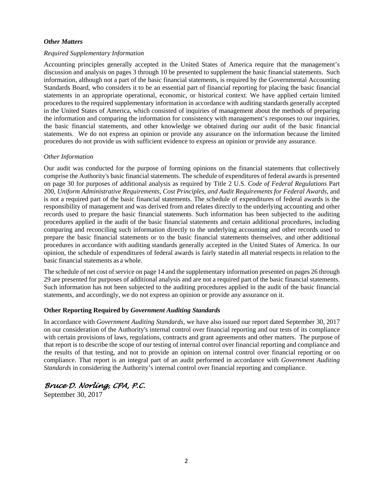#### *Other Matters*

#### *Required Supplementary Information*

Accounting principles generally accepted in the United States of America require that the management's discussion and analysis on pages 3 through 10 be presented to supplement the basic financial statements. Such information, although not a part of the basic financial statements, is required by the Governmental Accounting Standards Board, who considers it to be an essential part of financial reporting for placing the basic financial statements in an appropriate operational, economic, or historical context. We have applied certain limited procedures to the required supplementary information in accordance with auditing standards generally accepted in the United States of America, which consisted of inquiries of management about the methods of preparing the information and comparing the information for consistency with management's responses to our inquiries, the basic financial statements, and other knowledge we obtained during our audit of the basic financial statements. We do not express an opinion or provide any assurance on the information because the limited procedures do not provide us with sufficient evidence to express an opinion or provide any assurance.

#### *Other Information*

Our audit was conducted for the purpose of forming opinions on the financial statements that collectively comprise the Authority's basic financial statements. The schedule of expenditures of federal awards is presented on page 30 for purposes of additional analysis as required by Title 2 U.S. *Code of Federal Regulations* Part 200, *Uniform Administrative Requirements, Cost Principles, and Audit Requirements for Federal Awards,* and is not a required part of the basic financial statements. The schedule of expenditures of federal awards is the responsibility of management and was derived from and relates directly to the underlying accounting and other records used to prepare the basic financial statements. Such information has been subjected to the auditing procedures applied in the audit of the basic financial statements and certain additional procedures, including comparing and reconciling such information directly to the underlying accounting and other records used to prepare the basic financial statements or to the basic financial statements themselves, and other additional procedures in accordance with auditing standards generally accepted in the United States of America. In our opinion, the schedule of expenditures of federal awards is fairly stated in all material respects in relation to the basic financial statements as a whole.

The schedule of net cost of service on page 14 and the supplementary information presented on pages 26 through 29 are presented for purposes of additional analysis and are not a required part of the basic financial statements. Such information has not been subjected to the auditing procedures applied in the audit of the basic financial statements, and accordingly, we do not express an opinion or provide any assurance on it.

#### **Other Reporting Required by** *Government Auditing Standards*

In accordance with *Government Auditing Standards*, we have also issued our report dated September 30, 2017 on our consideration of the Authority's internal control over financial reporting and our tests of its compliance with certain provisions of laws, regulations, contracts and grant agreements and other matters. The purpose of that report is to describe the scope of our testing of internal control over financial reporting and compliance and the results of that testing, and not to provide an opinion on internal control over financial reporting or on compliance. That report is an integral part of an audit performed in accordance with *Government Auditing Standards* in considering the Authority's internal control over financial reporting and compliance.

## *Bruce D. Norling, CPA, P.C.*

September 30, 2017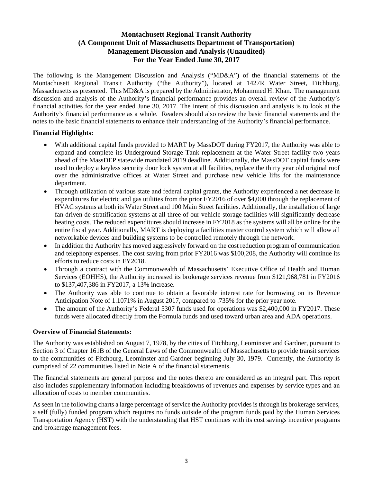The following is the Management Discussion and Analysis ("MD&A") of the financial statements of the Montachusett Regional Transit Authority ("the Authority"), located at 1427R Water Street, Fitchburg, Massachusetts as presented. This MD&A is prepared by the Administrator, Mohammed H. Khan. The management discussion and analysis of the Authority's financial performance provides an overall review of the Authority's financial activities for the year ended June 30, 2017. The intent of this discussion and analysis is to look at the Authority's financial performance as a whole. Readers should also review the basic financial statements and the notes to the basic financial statements to enhance their understanding of the Authority's financial performance.

### **Financial Highlights:**

- With additional capital funds provided to MART by MassDOT during FY2017, the Authority was able to expand and complete its Underground Storage Tank replacement at the Water Street facility two years ahead of the MassDEP statewide mandated 2019 deadline. Additionally, the MassDOT capital funds were used to deploy a keyless security door lock system at all facilities, replace the thirty year old original roof over the administrative offices at Water Street and purchase new vehicle lifts for the maintenance department.
- Through utilization of various state and federal capital grants, the Authority experienced a net decrease in expenditures for electric and gas utilities from the prior FY2016 of over \$4,000 through the replacement of HVAC systems at both its Water Street and 100 Main Street facilities. Additionally, the installation of large fan driven de-stratification systems at all three of our vehicle storage facilities will significantly decrease heating costs. The reduced expenditures should increase in FY2018 as the systems will all be online for the entire fiscal year. Additionally, MART is deploying a facilities master control system which will allow all networkable devices and building systems to be controlled remotely through the network.
- In addition the Authority has moved aggressively forward on the cost reduction program of communication and telephony expenses. The cost saving from prior FY2016 was \$100,208, the Authority will continue its efforts to reduce costs in FY2018.
- Through a contract with the Commonwealth of Massachusetts' Executive Office of Health and Human Services (EOHHS), the Authority increased its brokerage services revenue from \$121,968,781 in FY2016 to \$137,407,386 in FY2017, a 13% increase.
- The Authority was able to continue to obtain a favorable interest rate for borrowing on its Revenue Anticipation Note of 1.1071% in August 2017, compared to .735% for the prior year note.
- The amount of the Authority's Federal 5307 funds used for operations was \$2,400,000 in FY2017. These funds were allocated directly from the Formula funds and used toward urban area and ADA operations.

#### **Overview of Financial Statements:**

The Authority was established on August 7, 1978, by the cities of Fitchburg, Leominster and Gardner, pursuant to Section 3 of Chapter 161B of the General Laws of the Commonwealth of Massachusetts to provide transit services to the communities of Fitchburg, Leominster and Gardner beginning July 30, 1979. Currently, the Authority is comprised of 22 communities listed in Note A of the financial statements.

The financial statements are general purpose and the notes thereto are considered as an integral part. This report also includes supplementary information including breakdowns of revenues and expenses by service types and an allocation of costs to member communities.

As seen in the following charts a large percentage of service the Authority provides is through its brokerage services, a self (fully) funded program which requires no funds outside of the program funds paid by the Human Services Transportation Agency (HST) with the understanding that HST continues with its cost savings incentive programs and brokerage management fees.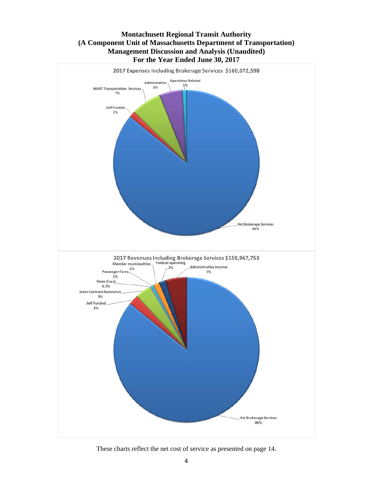

These charts reflect the net cost of service as presented on page 14.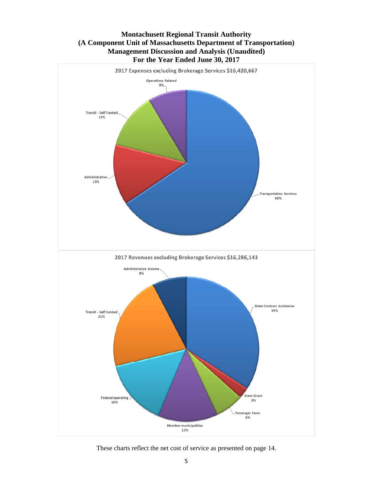

These charts reflect the net cost of service as presented on page 14.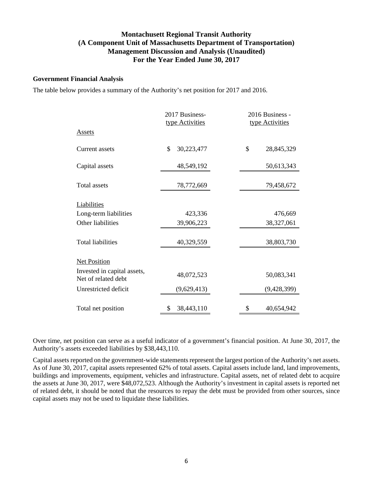#### **Government Financial Analysis**

The table below provides a summary of the Authority's net position for 2017 and 2016.

|                                                    | 2017 Business-<br>type Activities | 2016 Business -<br>type Activities |
|----------------------------------------------------|-----------------------------------|------------------------------------|
| Assets                                             |                                   |                                    |
| Current assets                                     | \$<br>30,223,477                  | \$<br>28,845,329                   |
| Capital assets                                     | 48,549,192                        | 50,613,343                         |
| <b>Total assets</b>                                | 78,772,669                        | 79,458,672                         |
| <b>Liabilities</b>                                 |                                   |                                    |
| Long-term liabilities                              | 423,336                           | 476,669                            |
| Other liabilities                                  | 39,906,223                        | 38,327,061                         |
| <b>Total liabilities</b>                           | 40,329,559                        | 38,803,730                         |
| <b>Net Position</b>                                |                                   |                                    |
| Invested in capital assets,<br>Net of related debt | 48,072,523                        | 50,083,341                         |
| Unrestricted deficit                               | (9,629,413)                       | (9,428,399)                        |
| Total net position                                 | \$<br>38,443,110                  | \$<br>40,654,942                   |

Over time, net position can serve as a useful indicator of a government's financial position. At June 30, 2017, the Authority's assets exceeded liabilities by \$38,443,110.

Capital assets reported on the government-wide statements represent the largest portion of the Authority's net assets. As of June 30, 2017, capital assets represented 62% of total assets. Capital assets include land, land improvements, buildings and improvements, equipment, vehicles and infrastructure. Capital assets, net of related debt to acquire the assets at June 30, 2017, were \$48,072,523. Although the Authority's investment in capital assets is reported net of related debt, it should be noted that the resources to repay the debt must be provided from other sources, since capital assets may not be used to liquidate these liabilities.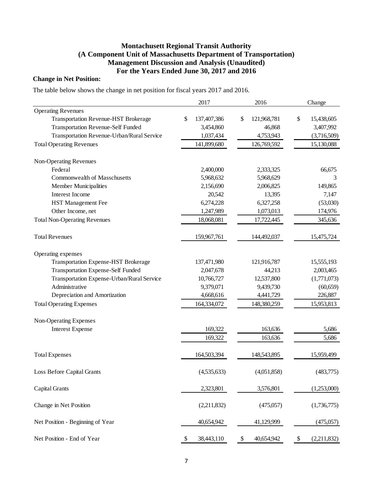#### **Change in Net Position:**

The table below shows the change in net position for fiscal years 2017 and 2016.

|                                             | 2017              | 2016              | Change            |
|---------------------------------------------|-------------------|-------------------|-------------------|
| <b>Operating Revenues</b>                   |                   |                   |                   |
| <b>Transportation Revenue-HST Brokerage</b> | \$<br>137,407,386 | \$<br>121,968,781 | \$<br>15,438,605  |
| <b>Transportation Revenue-Self Funded</b>   | 3,454,860         | 46,868            | 3,407,992         |
| Transportation Revenue-Urban/Rural Service  | 1,037,434         | 4,753,943         | (3,716,509)       |
| <b>Total Operating Revenues</b>             | 141,899,680       | 126,769,592       | 15,130,088        |
| Non-Operating Revenues                      |                   |                   |                   |
| Federal                                     | 2,400,000         | 2,333,325         | 66,675            |
| <b>Commonwealth of Masschusetts</b>         | 5,968,632         | 5,968,629         | 3                 |
| Member Municipalities                       | 2,156,690         | 2,006,825         | 149,865           |
| <b>Interest Income</b>                      | 20,542            | 13,395            | 7,147             |
| HST Management Fee                          | 6,274,228         | 6,327,258         | (53,030)          |
| Other Income, net                           | 1,247,989         | 1,073,013         | 174,976           |
| <b>Total Non-Operating Revenues</b>         | 18,068,081        | 17,722,445        | 345,636           |
| <b>Total Revenues</b>                       | 159,967,761       | 144,492,037       | 15,475,724        |
| Operating expenses                          |                   |                   |                   |
| <b>Transportation Expense-HST Brokerage</b> | 137,471,980       | 121,916,787       | 15,555,193        |
| <b>Transportation Expense-Self Funded</b>   | 2,047,678         | 44,213            | 2,003,465         |
| Transportation Expense-Urban/Rural Service  | 10,766,727        | 12,537,800        | (1,771,073)       |
| Administrative                              | 9,379,071         | 9,439,730         | (60, 659)         |
| Depreciation and Amortization               | 4,668,616         | 4,441,729         | 226,887           |
| <b>Total Operating Expenses</b>             | 164,334,072       | 148,380,259       | 15,953,813        |
| Non-Operating Expenses                      |                   |                   |                   |
| <b>Interest Expense</b>                     | 169,322           | 163,636           | 5,686             |
|                                             | 169,322           | 163,636           | 5,686             |
| <b>Total Expenses</b>                       | 164,503,394       | 148,543,895       | 15,959,499        |
| Loss Before Capital Grants                  | (4,535,633)       | (4,051,858)       | (483,775)         |
| Capital Grants                              | 2,323,801         | 3,576,801         | (1,253,000)       |
| Change in Net Position                      | (2,211,832)       | (475,057)         | (1,736,775)       |
| Net Position - Beginning of Year            | 40,654,942        | 41,129,999        | (475,057)         |
| Net Position - End of Year                  | \$<br>38,443,110  | \$<br>40,654,942  | \$<br>(2,211,832) |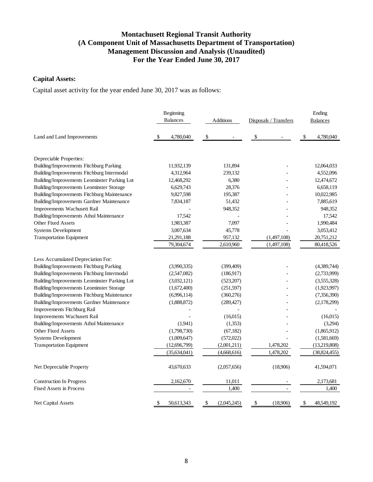## **Capital Assets:**

Capital asset activity for the year ended June 30, 2017 was as follows:

|                                              | Beginning        |                   |                       | Ending           |  |  |
|----------------------------------------------|------------------|-------------------|-----------------------|------------------|--|--|
|                                              | <b>Balances</b>  | <b>Additions</b>  | Disposals / Transfers | <b>Balances</b>  |  |  |
| Land and Land Improvements                   | 4,780,040<br>S   | \$                | \$                    | \$<br>4,780,040  |  |  |
| Depreciable Properties:                      |                  |                   |                       |                  |  |  |
| Building/Improvements Fitchburg Parking      | 11,932,139       | 131,894           |                       | 12,064,033       |  |  |
| Building/Improvements Fitchburg Intermodal   | 4,312,964        | 239,132           |                       | 4,552,096        |  |  |
| Building/Improvements Leominster Parking Lot | 12,468,292       | 6,380             |                       | 12,474,672       |  |  |
| Building/Improvements Leominster Storage     | 6,629,743        | 28,376            |                       | 6,658,119        |  |  |
| Building/Improvements Fitchburg Maintenance  | 9,827,598        | 195,387           |                       | 10,022,985       |  |  |
| Building/Improvements Gardner Maintenance    | 7,834,187        | 51,432            |                       | 7,885,619        |  |  |
| Improvements Wachusett Rail                  |                  | 948,352           |                       | 948,352          |  |  |
| Building/Improvements Athol Maintenance      | 17,542           |                   |                       | 17,542           |  |  |
| Other Fixed Assets                           | 1,983,387        | 7,097             |                       | 1,990,484        |  |  |
| <b>Systems Development</b>                   | 3,007,634        | 45,778            |                       | 3,053,412        |  |  |
| <b>Transportation Equipment</b>              | 21,291,188       | 957,132           | (1,497,108)           | 20,751,212       |  |  |
|                                              | 79,304,674       | 2,610,960         | (1,497,108)           | 80,418,526       |  |  |
| Less Accumulated Depreciation For:           |                  |                   |                       |                  |  |  |
| Building/Improvements Fitchburg Parking      | (3,990,335)      | (399, 409)        |                       | (4,389,744)      |  |  |
| Building/Improvements Fitchburg Intermodal   | (2,547,082)      | (186,917)         |                       | (2,733,999)      |  |  |
| Building/Improvements Leominster Parking Lot | (3,032,121)      | (523,207)         |                       | (3,555,328)      |  |  |
| Building/Improvements Leominster Storage     | (1,672,400)      | (251,597)         |                       | (1,923,997)      |  |  |
| Building/Improvements Fitchburg Maintenance  | (6,996,114)      | (360, 276)        |                       | (7,356,390)      |  |  |
| Building/Improvements Gardner Maintenance    | (1,888,872)      | (289, 427)        |                       | (2,178,299)      |  |  |
| Improvements Fitchburg Rail                  |                  |                   |                       |                  |  |  |
| Improvements Wachusett Rail                  |                  | (16,015)          |                       | (16,015)         |  |  |
| Building/Improvements Athol Maintenance      | (1,941)          | (1,353)           |                       | (3,294)          |  |  |
| <b>Other Fixed Assets</b>                    | (1,798,730)      | (67, 182)         |                       | (1,865,912)      |  |  |
| <b>Systems Development</b>                   | (1,009,647)      | (572, 022)        |                       | (1,581,669)      |  |  |
| <b>Transportation Equipment</b>              | (12,696,799)     | (2,001,211)       | 1,478,202             | (13,219,808)     |  |  |
|                                              | (35, 634, 041)   | (4,668,616)       | 1,478,202             | (38, 824, 455)   |  |  |
| Net Depreciable Property                     | 43,670,633       | (2,057,656)       | (18,906)              | 41,594,071       |  |  |
| <b>Construction In Progress</b>              | 2,162,670        | 11,011            |                       | 2,173,681        |  |  |
| <b>Fixed Assets in Process</b>               |                  | 1,400             |                       | 1,400            |  |  |
| Net Capital Assets                           | \$<br>50,613,343 | \$<br>(2,045,245) | \$<br>(18,906)        | \$<br>48,549,192 |  |  |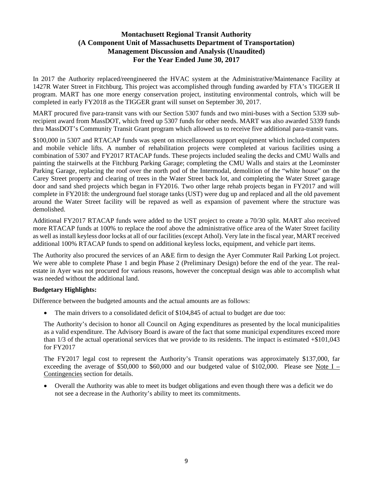In 2017 the Authority replaced/reengineered the HVAC system at the Administrative/Maintenance Facility at 1427R Water Street in Fitchburg. This project was accomplished through funding awarded by FTA's TIGGER II program. MART has one more energy conservation project, instituting environmental controls, which will be completed in early FY2018 as the TIGGER grant will sunset on September 30, 2017.

MART procured five para-transit vans with our Section 5307 funds and two mini-buses with a Section 5339 subrecipient award from MassDOT, which freed up 5307 funds for other needs. MART was also awarded 5339 funds thru MassDOT's Community Transit Grant program which allowed us to receive five additional para-transit vans.

\$100,000 in 5307 and RTACAP funds was spent on miscellaneous support equipment which included computers and mobile vehicle lifts. A number of rehabilitation projects were completed at various facilities using a combination of 5307 and FY2017 RTACAP funds. These projects included sealing the decks and CMU Walls and painting the stairwells at the Fitchburg Parking Garage; completing the CMU Walls and stairs at the Leominster Parking Garage, replacing the roof over the north pod of the Intermodal, demolition of the "white house" on the Carey Street property and clearing of trees in the Water Street back lot, and completing the Water Street garage door and sand shed projects which began in FY2016. Two other large rehab projects began in FY2017 and will complete in FY2018: the underground fuel storage tanks (UST) were dug up and replaced and all the old pavement around the Water Street facility will be repaved as well as expansion of pavement where the structure was demolished.

Additional FY2017 RTACAP funds were added to the UST project to create a 70/30 split. MART also received more RTACAP funds at 100% to replace the roof above the administrative office area of the Water Street facility as well as install keyless door locks at all of our facilities (except Athol). Very late in the fiscal year, MART received additional 100% RTACAP funds to spend on additional keyless locks, equipment, and vehicle part items.

The Authority also procured the services of an A&E firm to design the Ayer Commuter Rail Parking Lot project. We were able to complete Phase 1 and begin Phase 2 (Preliminary Design) before the end of the year. The realestate in Ayer was not procured for various reasons, however the conceptual design was able to accomplish what was needed without the additional land.

## **Budgetary Highlights:**

Difference between the budgeted amounts and the actual amounts are as follows:

• The main drivers to a consolidated deficit of \$104,845 of actual to budget are due too:

The Authority's decision to honor all Council on Aging expenditures as presented by the local municipalities as a valid expenditure. The Advisory Board is aware of the fact that some municipal expenditures exceed more than 1/3 of the actual operational services that we provide to its residents. The impact is estimated +\$101,043 for FY2017

The FY2017 legal cost to represent the Authority's Transit operations was approximately \$137,000, far exceeding the average of \$50,000 to \$60,000 and our budgeted value of \$102,000. Please see Note I – Contingencies section for details.

 Overall the Authority was able to meet its budget obligations and even though there was a deficit we do not see a decrease in the Authority's ability to meet its commitments.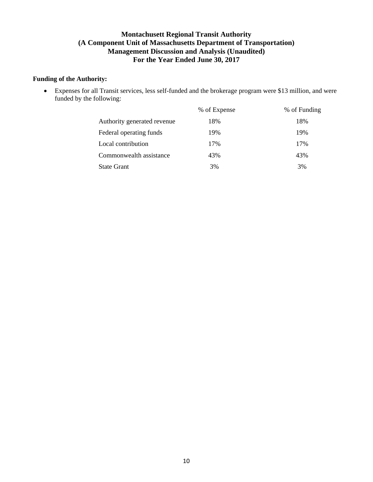## **Funding of the Authority:**

 Expenses for all Transit services, less self-funded and the brokerage program were \$13 million, and were funded by the following:

|                             | % of Expense | % of Funding |
|-----------------------------|--------------|--------------|
| Authority generated revenue | 18%          | 18%          |
| Federal operating funds     | 19%          | 19%          |
| Local contribution          | 17%          | 17%          |
| Commonwealth assistance     | 43%          | 43%          |
| <b>State Grant</b>          | 3%           | 3%           |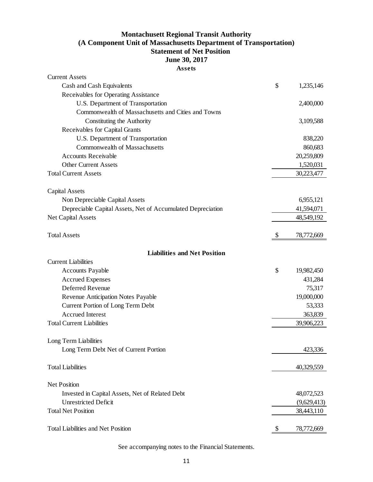## **Montachusett Regional Transit Authority (A Component Unit of Massachusetts Department of Transportation) Statement of Net Position June 30, 2017**

**Assets**

| <b>Current Assets</b>                                       |                  |
|-------------------------------------------------------------|------------------|
| Cash and Cash Equivalents                                   | \$<br>1,235,146  |
| Receivables for Operating Assistance                        |                  |
| U.S. Department of Transportation                           | 2,400,000        |
| Commonwealth of Massachusetts and Cities and Towns          |                  |
| Constituting the Authority                                  | 3,109,588        |
| Receivables for Capital Grants                              |                  |
| U.S. Department of Transportation                           | 838,220          |
| Commonwealth of Massachusetts                               | 860,683          |
| <b>Accounts Receivable</b>                                  | 20,259,809       |
| <b>Other Current Assets</b>                                 | 1,520,031        |
| <b>Total Current Assets</b>                                 | 30,223,477       |
| <b>Capital Assets</b>                                       |                  |
| Non Depreciable Capital Assets                              | 6,955,121        |
| Depreciable Capital Assets, Net of Accumulated Depreciation | 41,594,071       |
| Net Capital Assets                                          | 48,549,192       |
| <b>Total Assets</b>                                         | \$<br>78,772,669 |
|                                                             |                  |
| <b>Liabilities and Net Position</b>                         |                  |
| <b>Current Liabilities</b>                                  |                  |
| <b>Accounts Payable</b>                                     | \$<br>19,982,450 |
| <b>Accrued Expenses</b>                                     | 431,284          |
| Deferred Revenue                                            | 75,317           |
| Revenue Anticipation Notes Payable                          | 19,000,000       |
| Current Portion of Long Term Debt                           | 53,333           |
| <b>Accrued Interest</b>                                     | 363,839          |
| <b>Total Current Liabilities</b>                            | 39,906,223       |
| Long Term Liabilities                                       |                  |
| Long Term Debt Net of Current Portion                       | 423,336          |
| <b>Total Liabilities</b>                                    | 40,329,559       |
| <b>Net Position</b>                                         |                  |
| Invested in Capital Assets, Net of Related Debt             | 48,072,523       |
| <b>Unrestricted Deficit</b>                                 | (9,629,413)      |
| <b>Total Net Position</b>                                   | 38,443,110       |
| <b>Total Liabilities and Net Position</b>                   | \$<br>78,772,669 |

See accompanying notes to the Financial Statements.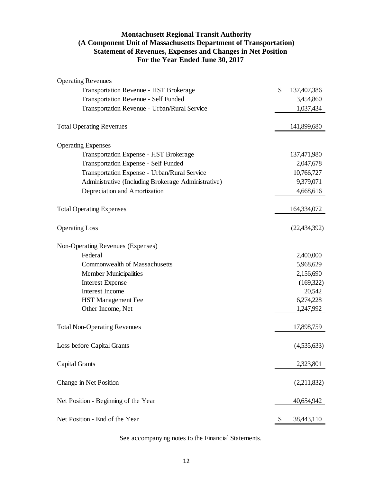## **Montachusett Regional Transit Authority (A Component Unit of Massachusetts Department of Transportation) Statement of Revenues, Expenses and Changes in Net Position For the Year Ended June 30, 2017**

| <b>Operating Revenues</b>                           |                   |
|-----------------------------------------------------|-------------------|
| <b>Transportation Revenue - HST Brokerage</b>       | \$<br>137,407,386 |
| <b>Transportation Revenue - Self Funded</b>         | 3,454,860         |
| Transportation Revenue - Urban/Rural Service        | 1,037,434         |
| <b>Total Operating Revenues</b>                     | 141,899,680       |
| <b>Operating Expenses</b>                           |                   |
| Transportation Expense - HST Brokerage              | 137,471,980       |
| <b>Transportation Expense - Self Funded</b>         | 2,047,678         |
| Transportation Expense - Urban/Rural Service        | 10,766,727        |
| Administrative (Including Brokerage Administrative) | 9,379,071         |
| Depreciation and Amortization                       | 4,668,616         |
| <b>Total Operating Expenses</b>                     | 164,334,072       |
| <b>Operating Loss</b>                               | (22, 434, 392)    |
| Non-Operating Revenues (Expenses)                   |                   |
| Federal                                             | 2,400,000         |
| <b>Commonwealth of Massachusetts</b>                | 5,968,629         |
| <b>Member Municipalities</b>                        | 2,156,690         |
| <b>Interest Expense</b>                             | (169,322)         |
| Interest Income                                     | 20,542            |
| <b>HST</b> Management Fee                           | 6,274,228         |
| Other Income, Net                                   | 1,247,992         |
| <b>Total Non-Operating Revenues</b>                 | 17,898,759        |
| Loss before Capital Grants                          | (4,535,633)       |
| <b>Capital Grants</b>                               | 2,323,801         |
| Change in Net Position                              | (2,211,832)       |
| Net Position - Beginning of the Year                | 40,654,942        |
| Net Position - End of the Year                      | \$<br>38,443,110  |

See accompanying notes to the Financial Statements.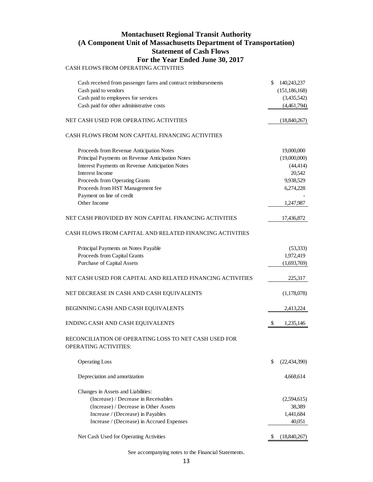## **Montachusett Regional Transit Authority (A Component Unit of Massachusetts Department of Transportation) Statement of Cash Flows For the Year Ended June 30, 2017**

CASH FLOWS FROM OPERATING ACTIVITIES

| Cash received from passenger fares and contract reimbursements                        | \$ | 140,243,237     |
|---------------------------------------------------------------------------------------|----|-----------------|
| Cash paid to vendors                                                                  |    | (151, 186, 168) |
| Cash paid to employees for services                                                   |    | (3,435,542)     |
| Cash paid for other administrative costs                                              |    | (4,461,794)     |
| NET CASH USED FOR OPERATING ACTIVITIES                                                |    | (18,840,267)    |
| CASH FLOWS FROM NON CAPITAL FINANCING ACTIVITIES                                      |    |                 |
| Proceeds from Revenue Anticipation Notes                                              |    | 19,000,000      |
| Principal Payments on Revenue Anticipation Notes                                      |    | (19,000,000)    |
| <b>Interest Payments on Revenue Anticipation Notes</b>                                |    | (44, 414)       |
| <b>Interest Income</b>                                                                |    | 20,542          |
| Proceeds from Operating Grants                                                        |    | 9,938,529       |
| Proceeds from HST Management fee                                                      |    | 6,274,228       |
| Payment on line of credit                                                             |    |                 |
| Other Income                                                                          |    | 1,247,987       |
| NET CASH PROVIDED BY NON CAPITAL FINANCING ACTIVITIES                                 |    | 17,436,872      |
| CASH FLOWS FROM CAPITAL AND RELATED FINANCING ACTIVITIES                              |    |                 |
| Principal Payments on Notes Payable                                                   |    | (53,333)        |
| Proceeds from Capital Grants                                                          |    | 1,972,419       |
| Purchase of Capital Assets                                                            |    | (1,693,769)     |
| NET CASH USED FOR CAPITAL AND RELATED FINANCING ACTIVITIES                            |    | 225,317         |
| NET DECREASE IN CASH AND CASH EQUIVALENTS                                             |    | (1,178,078)     |
| BEGINNING CASH AND CASH EQUIVALENTS                                                   |    | 2,413,224       |
| ENDING CASH AND CASH EQUIVALENTS                                                      | \$ | 1,235,146       |
| RECONCILIATION OF OPERATING LOSS TO NET CASH USED FOR<br><b>OPERATING ACTIVITIES:</b> |    |                 |
| <b>Operating Loss</b>                                                                 | \$ | (22, 434, 390)  |
| Depreciation and amortization                                                         |    | 4,668,614       |
| Changes in Assets and Liabilities:                                                    |    |                 |
| (Increase) / Decrease in Receivables                                                  |    | (2,594,615)     |
| (Increase) / Decrease in Other Assets                                                 |    | 38,389          |
| Increase / (Decrease) in Payables                                                     |    | 1,441,684       |
| Increase / (Decrease) in Accrued Expenses                                             |    | 40,051          |
| Net Cash Used for Operating Activities                                                | S  | (18, 840, 267)  |

See accompanying notes to the Financial Statements.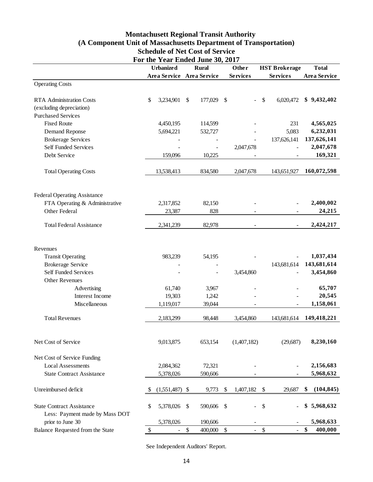## **Montachusett Regional Transit Authority (A Component Unit of Massachusetts Department of Transportation) Schedule of Net Cost of Service**

|                                     |      | For the Year Ended June 30, 2017 |               |              |            |                 |               |                          |                  |
|-------------------------------------|------|----------------------------------|---------------|--------------|------------|-----------------|---------------|--------------------------|------------------|
|                                     |      | <b>Urbanized</b>                 |               | <b>Rural</b> |            | Other           |               | <b>HST Brokerage</b>     | <b>Total</b>     |
|                                     |      | Area Service Area Service        |               |              |            | <b>Services</b> |               | <b>Services</b>          | Area Service     |
| <b>Operating Costs</b>              |      |                                  |               |              |            |                 |               |                          |                  |
| <b>RTA Administration Costs</b>     | \$   | 3,234,901                        | $\mathbb{S}$  | 177,029      | $\sqrt{3}$ |                 | $\mathcal{S}$ | 6,020,472                | \$9,432,402      |
| (excluding depreciation)            |      |                                  |               |              |            |                 |               |                          |                  |
| <b>Purchased Services</b>           |      |                                  |               |              |            |                 |               |                          |                  |
| <b>Fixed Route</b>                  |      | 4,450,195                        |               | 114,599      |            |                 |               | 231                      | 4,565,025        |
| <b>Demand Reponse</b>               |      | 5,694,221                        |               | 532,727      |            |                 |               | 5,083                    | 6,232,031        |
| <b>Brokerage Services</b>           |      |                                  |               |              |            |                 |               | 137,626,141              | 137,626,141      |
| Self Funded Services                |      |                                  |               |              |            | 2,047,678       |               |                          | 2,047,678        |
| Debt Service                        |      | 159,096                          |               | 10,225       |            |                 |               |                          | 169,321          |
| <b>Total Operating Costs</b>        |      | 13,538,413                       |               | 834,580      |            | 2,047,678       |               | 143,651,927              | 160,072,598      |
| <b>Federal Operating Assistance</b> |      |                                  |               |              |            |                 |               |                          |                  |
| FTA Operating & Administrative      |      | 2,317,852                        |               | 82,150       |            |                 |               |                          | 2,400,002        |
| Other Federal                       |      | 23,387                           |               | 828          |            |                 |               |                          | 24,215           |
|                                     |      |                                  |               |              |            |                 |               |                          |                  |
| <b>Total Federal Assistance</b>     |      | 2,341,239                        |               | 82,978       |            |                 |               |                          | 2,424,217        |
| Revenues                            |      |                                  |               |              |            |                 |               |                          |                  |
| <b>Transit Operating</b>            |      | 983,239                          |               | 54,195       |            |                 |               |                          | 1,037,434        |
| <b>Brokerage Service</b>            |      |                                  |               |              |            |                 |               | 143,681,614              | 143,681,614      |
| <b>Self Funded Services</b>         |      |                                  |               |              |            | 3,454,860       |               |                          | 3,454,860        |
| Other Revenues                      |      |                                  |               |              |            |                 |               |                          |                  |
| Advertising                         |      | 61,740                           |               | 3,967        |            |                 |               |                          | 65,707           |
| Interest Income                     |      | 19,303                           |               | 1,242        |            |                 |               |                          | 20,545           |
| Miscellaneous                       |      | 1,119,017                        |               | 39,044       |            |                 |               |                          | 1,158,061        |
|                                     |      |                                  |               |              |            |                 |               |                          |                  |
| <b>Total Revenues</b>               |      | 2,183,299                        |               | 98,448       |            | 3,454,860       |               | 143,681,614              | 149,418,221      |
| Net Cost of Service                 |      | 9,013,875                        |               | 653,154      |            | (1,407,182)     |               | (29,687)                 | 8,230,160        |
| Net Cost of Service Funding         |      |                                  |               |              |            |                 |               |                          |                  |
| <b>Local Assessments</b>            |      | 2,084,362                        |               | 72,321       |            |                 |               |                          | 2,156,683        |
| <b>State Contract Assistance</b>    |      | 5,378,026                        |               | 590,606      |            |                 |               |                          | 5,968,632        |
| Unreimbursed deficit                | \$   | $(1,551,487)$ \$                 |               | 9,773        | \$         | 1,407,182       | \$            | 29,687                   | \$<br>(104, 845) |
| <b>State Contract Assistance</b>    | \$   | 5,378,026                        | $\mathcal{S}$ | 590,606      | \$         |                 | \$            |                          | \$<br>5,968,632  |
| Less: Payment made by Mass DOT      |      |                                  |               |              |            |                 |               |                          |                  |
| prior to June 30                    |      | 5,378,026                        |               | 190,606      |            |                 |               |                          | 5,968,633        |
| Balance Requested from the State    | $\$$ |                                  | \$            | 400,000      | \$         | -               | \$            | $\overline{\phantom{a}}$ | \$<br>400,000    |

See Independent Auditors' Report.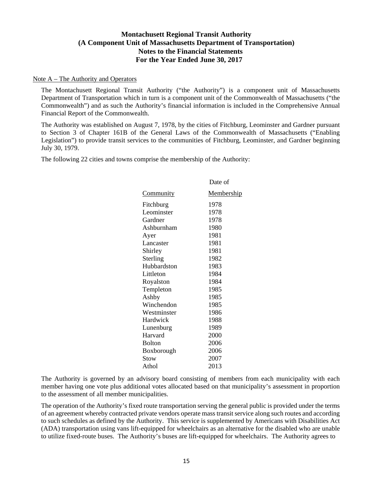#### Note A – The Authority and Operators

The Montachusett Regional Transit Authority ("the Authority") is a component unit of Massachusetts Department of Transportation which in turn is a component unit of the Commonwealth of Massachusetts ("the Commonwealth") and as such the Authority's financial information is included in the Comprehensive Annual Financial Report of the Commonwealth.

The Authority was established on August 7, 1978, by the cities of Fitchburg, Leominster and Gardner pursuant to Section 3 of Chapter 161B of the General Laws of the Commonwealth of Massachusetts ("Enabling Legislation") to provide transit services to the communities of Fitchburg, Leominster, and Gardner beginning July 30, 1979.

The following 22 cities and towns comprise the membership of the Authority:

|               | Date of    |
|---------------|------------|
| Community     | Membership |
| Fitchburg     | 1978       |
| Leominster    | 1978       |
| Gardner       | 1978       |
| Ashburnham    | 1980       |
| Ayer          | 1981       |
| Lancaster     | 1981       |
| Shirley       | 1981       |
| Sterling      | 1982       |
| Hubbardston   | 1983       |
| Littleton     | 1984       |
| Royalston     | 1984       |
| Templeton     | 1985       |
| Ashby         | 1985       |
| Winchendon    | 1985       |
| Westminster   | 1986       |
| Hardwick      | 1988       |
| Lunenburg     | 1989       |
| Harvard       | 2000       |
| <b>Bolton</b> | 2006       |
| Boxborough    | 2006       |
| Stow          | 2007       |
| Athol         | 2013       |
|               |            |

The Authority is governed by an advisory board consisting of members from each municipality with each member having one vote plus additional votes allocated based on that municipality's assessment in proportion to the assessment of all member municipalities.

The operation of the Authority's fixed route transportation serving the general public is provided under the terms of an agreement whereby contracted private vendors operate mass transit service along such routes and according to such schedules as defined by the Authority. This service is supplemented by Americans with Disabilities Act (ADA) transportation using vans lift-equipped for wheelchairs as an alternative for the disabled who are unable to utilize fixed-route buses. The Authority's buses are lift-equipped for wheelchairs. The Authority agrees to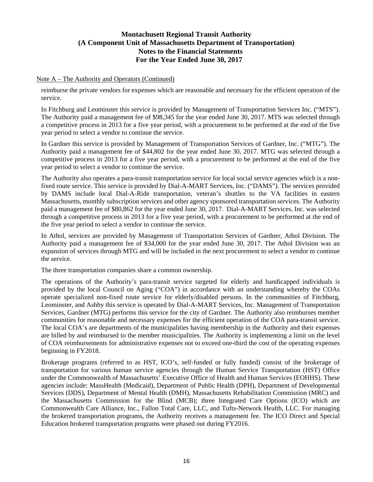#### Note A – The Authority and Operators (Continued)

reimburse the private vendors for expenses which are reasonable and necessary for the efficient operation of the service.

In Fitchburg and Leominster this service is provided by Management of Transportation Services Inc. ("MTS"). The Authority paid a management fee of \$98,345 for the year ended June 30, 2017. MTS was selected through a competitive process in 2013 for a five year period, with a procurement to be performed at the end of the five year period to select a vendor to continue the service.

In Gardner this service is provided by Management of Transportation Services of Gardner, Inc. ("MTG"). The Authority paid a management fee of \$44,802 for the year ended June 30, 2017. MTG was selected through a competitive process in 2013 for a five year period, with a procurement to be performed at the end of the five year period to select a vendor to continue the service.

The Authority also operates a para-transit transportation service for local social service agencies which is a nonfixed route service. This service is provided by Dial-A-MART Services, Inc. ("DAMS"). The services provided by DAMS include local Dial-A-Ride transportation, veteran's shuttles to the VA facilities in eastern Massachusetts, monthly subscription services and other agency sponsored transportation services. The Authority paid a management fee of \$80,862 for the year ended June 30, 2017. Dial-A-MART Services, Inc. was selected through a competitive process in 2013 for a five year period, with a procurement to be performed at the end of the five year period to select a vendor to continue the service.

In Athol, services are provided by Management of Transportation Services of Gardner, Athol Division. The Authority paid a management fee of \$34,000 for the year ended June 30, 2017. The Athol Division was an expansion of services through MTG and will be included in the next procurement to select a vendor to continue the service.

The three transportation companies share a common ownership.

The operations of the Authority's para-transit service targeted for elderly and handicapped individuals is provided by the local Council on Aging ("COA") in accordance with an understanding whereby the COAs operate specialized non-fixed route service for elderly/disabled persons. In the communities of Fitchburg, Leominster, and Ashby this service is operated by Dial-A-MART Services, Inc. Management of Transportation Services, Gardner (MTG) performs this service for the city of Gardner. The Authority also reimburses member communities for reasonable and necessary expenses for the efficient operation of the COA para-transit service. The local COA's are departments of the municipalities having membership in the Authority and their expenses are billed by and reimbursed to the member municipalities. The Authority is implementing a limit on the level of COA reimbursements for administrative expenses not to exceed one-third the cost of the operating expenses beginning in FY2018.

Brokerage programs (referred to as HST, ICO's, self-funded or fully funded) consist of the brokerage of transportation for various human service agencies through the Human Service Transportation (HST) Office under the Commonwealth of Massachusetts' Executive Office of Health and Human Services (EOHHS). These agencies include: MassHealth (Medicaid), Department of Public Health (DPH), Department of Developmental Services (DDS), Department of Mental Health (DMH), Massachusetts Rehabilitation Commission (MRC) and the Massachusetts Commission for the Blind (MCB); three Integrated Care Options (ICO) which are Commonwealth Care Alliance, Inc., Fallon Total Care, LLC, and Tufts-Network Health, LLC. For managing the brokered transportation programs, the Authority receives a management fee. The ICO Direct and Special Education brokered transportation programs were phased out during FY2016.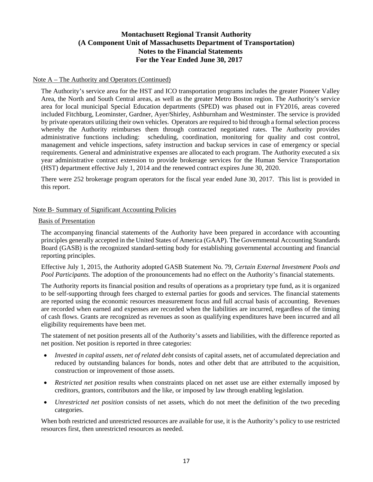#### Note A – The Authority and Operators (Continued)

The Authority's service area for the HST and ICO transportation programs includes the greater Pioneer Valley Area, the North and South Central areas, as well as the greater Metro Boston region. The Authority's service area for local municipal Special Education departments (SPED) was phased out in FY2016, areas covered included Fitchburg, Leominster, Gardner, Ayer/Shirley, Ashburnham and Westminster. The service is provided by private operators utilizing their own vehicles. Operators are required to bid through a formal selection process whereby the Authority reimburses them through contracted negotiated rates. The Authority provides administrative functions including: scheduling, coordination, monitoring for quality and cost control, management and vehicle inspections, safety instruction and backup services in case of emergency or special requirements. General and administrative expenses are allocated to each program. The Authority executed a six year administrative contract extension to provide brokerage services for the Human Service Transportation (HST) department effective July 1, 2014 and the renewed contract expires June 30, 2020.

There were 252 brokerage program operators for the fiscal year ended June 30, 2017. This list is provided in this report.

#### Note B- Summary of Significant Accounting Policies

#### Basis of Presentation

The accompanying financial statements of the Authority have been prepared in accordance with accounting principles generally accepted in the United States of America (GAAP). The Governmental Accounting Standards Board (GASB) is the recognized standard-setting body for establishing governmental accounting and financial reporting principles.

Effective July 1, 2015, the Authority adopted GASB Statement No. 79*, Certain External Investment Pools and Pool Participants.* The adoption of the pronouncements had no effect on the Authority's financial statements.

The Authority reports its financial position and results of operations as a proprietary type fund, as it is organized to be self-supporting through fees charged to external parties for goods and services. The financial statements are reported using the economic resources measurement focus and full accrual basis of accounting. Revenues are recorded when earned and expenses are recorded when the liabilities are incurred, regardless of the timing of cash flows. Grants are recognized as revenues as soon as qualifying expenditures have been incurred and all eligibility requirements have been met.

The statement of net position presents all of the Authority's assets and liabilities, with the difference reported as net position. Net position is reported in three categories:

- *Invested in capital assets, net of related debt* consists of capital assets, net of accumulated depreciation and reduced by outstanding balances for bonds, notes and other debt that are attributed to the acquisition, construction or improvement of those assets.
- *Restricted net position* results when constraints placed on net asset use are either externally imposed by creditors, grantors, contributors and the like, or imposed by law through enabling legislation.
- *Unrestricted net position* consists of net assets, which do not meet the definition of the two preceding categories.

When both restricted and unrestricted resources are available for use, it is the Authority's policy to use restricted resources first, then unrestricted resources as needed.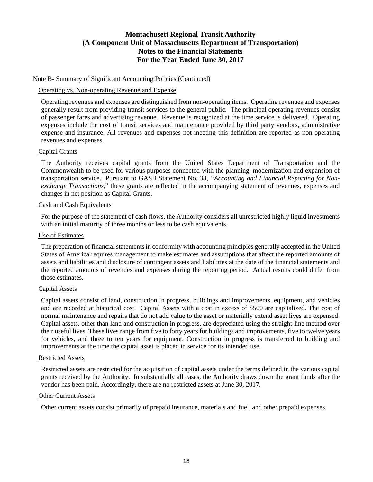#### Note B- Summary of Significant Accounting Policies (Continued)

#### Operating vs. Non-operating Revenue and Expense

Operating revenues and expenses are distinguished from non-operating items. Operating revenues and expenses generally result from providing transit services to the general public. The principal operating revenues consist of passenger fares and advertising revenue. Revenue is recognized at the time service is delivered. Operating expenses include the cost of transit services and maintenance provided by third party vendors, administrative expense and insurance. All revenues and expenses not meeting this definition are reported as non-operating revenues and expenses.

#### Capital Grants

The Authority receives capital grants from the United States Department of Transportation and the Commonwealth to be used for various purposes connected with the planning, modernization and expansion of transportation service. Pursuant to GASB Statement No. 33, *"Accounting and Financial Reporting for Nonexchange Transactions*," these grants are reflected in the accompanying statement of revenues, expenses and changes in net position as Capital Grants.

#### Cash and Cash Equivalents

For the purpose of the statement of cash flows, the Authority considers all unrestricted highly liquid investments with an initial maturity of three months or less to be cash equivalents.

#### Use of Estimates

The preparation of financial statements in conformity with accounting principles generally accepted in the United States of America requires management to make estimates and assumptions that affect the reported amounts of assets and liabilities and disclosure of contingent assets and liabilities at the date of the financial statements and the reported amounts of revenues and expenses during the reporting period. Actual results could differ from those estimates.

#### Capital Assets

Capital assets consist of land, construction in progress, buildings and improvements, equipment, and vehicles and are recorded at historical cost. Capital Assets with a cost in excess of \$500 are capitalized. The cost of normal maintenance and repairs that do not add value to the asset or materially extend asset lives are expensed. Capital assets, other than land and construction in progress, are depreciated using the straight-line method over their useful lives. These lives range from five to forty years for buildings and improvements, five to twelve years for vehicles, and three to ten years for equipment. Construction in progress is transferred to building and improvements at the time the capital asset is placed in service for its intended use.

#### Restricted Assets

Restricted assets are restricted for the acquisition of capital assets under the terms defined in the various capital grants received by the Authority. In substantially all cases, the Authority draws down the grant funds after the vendor has been paid. Accordingly, there are no restricted assets at June 30, 2017.

#### Other Current Assets

Other current assets consist primarily of prepaid insurance, materials and fuel, and other prepaid expenses.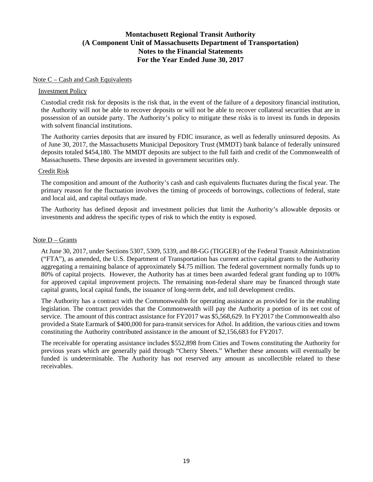#### Note C – Cash and Cash Equivalents

#### Investment Policy

Custodial credit risk for deposits is the risk that, in the event of the failure of a depository financial institution, the Authority will not be able to recover deposits or will not be able to recover collateral securities that are in possession of an outside party. The Authority's policy to mitigate these risks is to invest its funds in deposits with solvent financial institutions.

The Authority carries deposits that are insured by FDIC insurance, as well as federally uninsured deposits. As of June 30, 2017, the Massachusetts Municipal Depository Trust (MMDT) bank balance of federally uninsured deposits totaled \$454,180. The MMDT deposits are subject to the full faith and credit of the Commonwealth of Massachusetts. These deposits are invested in government securities only.

#### Credit Risk

The composition and amount of the Authority's cash and cash equivalents fluctuates during the fiscal year. The primary reason for the fluctuation involves the timing of proceeds of borrowings, collections of federal, state and local aid, and capital outlays made.

The Authority has defined deposit and investment policies that limit the Authority's allowable deposits or investments and address the specific types of risk to which the entity is exposed.

#### Note D – Grants

At June 30, 2017, under Sections 5307, 5309, 5339, and 88-GG (TIGGER) of the Federal Transit Administration ("FTA"), as amended, the U.S. Department of Transportation has current active capital grants to the Authority aggregating a remaining balance of approximately \$4.75 million. The federal government normally funds up to 80% of capital projects. However, the Authority has at times been awarded federal grant funding up to 100% for approved capital improvement projects. The remaining non-federal share may be financed through state capital grants, local capital funds, the issuance of long-term debt, and toll development credits.

The Authority has a contract with the Commonwealth for operating assistance as provided for in the enabling legislation. The contract provides that the Commonwealth will pay the Authority a portion of its net cost of service. The amount of this contract assistance for FY2017 was \$5,568,629. In FY2017 the Commonwealth also provided a State Earmark of \$400,000 for para-transit services for Athol. In addition, the various cities and towns constituting the Authority contributed assistance in the amount of \$2,156,683 for FY2017.

The receivable for operating assistance includes \$552,898 from Cities and Towns constituting the Authority for previous years which are generally paid through "Cherry Sheets." Whether these amounts will eventually be funded is undeterminable. The Authority has not reserved any amount as uncollectible related to these receivables.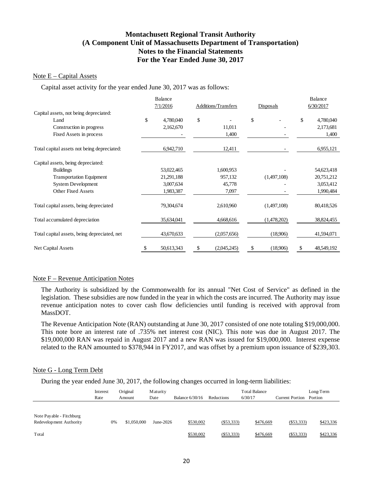#### Note E – Capital Assets

Capital asset activity for the year ended June 30, 2017 was as follows:

|                                              | Balance         |    |                     |    |             |    | Balance    |  |
|----------------------------------------------|-----------------|----|---------------------|----|-------------|----|------------|--|
|                                              | 7/1/2016        |    | Additions/Transfers |    | Disposals   |    | 6/30/2017  |  |
| Capital assets, not being depreciated:       |                 |    |                     |    |             |    |            |  |
| Land                                         | \$<br>4,780,040 | \$ |                     | \$ |             | \$ | 4,780,040  |  |
| Construction in progress                     | 2,162,670       |    | 11,011              |    |             |    | 2,173,681  |  |
| Fixed Assets in process                      |                 |    | 1,400               |    |             |    | 1,400      |  |
| Total capital assets not being depreciated:  | 6,942,710       |    | 12,411              |    |             |    | 6,955,121  |  |
| Capital assets, being depreciated:           |                 |    |                     |    |             |    |            |  |
| <b>Buildings</b>                             | 53,022,465      |    | 1,600,953           |    |             |    | 54,623,418 |  |
| <b>Transportation Equipment</b>              | 21,291,188      |    | 957,132             |    | (1,497,108) |    | 20,751,212 |  |
| <b>System Development</b>                    | 3,007,634       |    | 45,778              |    |             |    | 3,053,412  |  |
| <b>Other Fixed Assets</b>                    | 1,983,387       |    | 7,097               |    |             |    | 1,990,484  |  |
| Total capital assets, being depreciated      | 79,304,674      |    | 2,610,960           |    | (1,497,108) |    | 80,418,526 |  |
| Total accumulated depreciation               | 35,634,041      |    | 4,668,616           |    | (1,478,202) |    | 38,824,455 |  |
| Total capital assets, being depreciated, net | 43,670,633      |    | (2,057,656)         |    | (18,906)    |    | 41,594,071 |  |
| <b>Net Capital Assets</b>                    | 50,613,343      | \$ | (2,045,245)         | S  | (18,906)    |    | 48,549,192 |  |

#### Note F – Revenue Anticipation Notes

The Authority is subsidized by the Commonwealth for its annual "Net Cost of Service" as defined in the legislation. These subsidies are now funded in the year in which the costs are incurred. The Authority may issue revenue anticipation notes to cover cash flow deficiencies until funding is received with approval from MassDOT.

The Revenue Anticipation Note (RAN) outstanding at June 30, 2017 consisted of one note totaling \$19,000,000. This note bore an interest rate of .735% net interest cost (NIC). This note was due in August 2017. The \$19,000,000 RAN was repaid in August 2017 and a new RAN was issued for \$19,000,000. Interest expense related to the RAN amounted to \$378,944 in FY2017, and was offset by a premium upon issuance of \$239,303.

#### Note G - Long Term Debt

During the year ended June 30, 2017, the following changes occurred in long-term liabilities:

|                                                     | Interest | Original    | <b>Maturity</b> |                   |               | <b>Total Balance</b> |                        | Long-Term |
|-----------------------------------------------------|----------|-------------|-----------------|-------------------|---------------|----------------------|------------------------|-----------|
|                                                     | Rate     | Amount      | Date            | Balance $6/30/16$ | Reductions    | 6/30/17              | <b>Current Portion</b> | Portion   |
| Note Payable - Fitchburg<br>Redevelopment Authority | 0%       | \$1,050,000 | June- $2026$    | \$530,002         | $(\$53,333)$  | \$476,669            | $(\$53,333)$           | \$423,336 |
| Total                                               |          |             |                 | \$530,002         | $($ \$53,333) | \$476,669            | ( \$53,333)            | \$423,336 |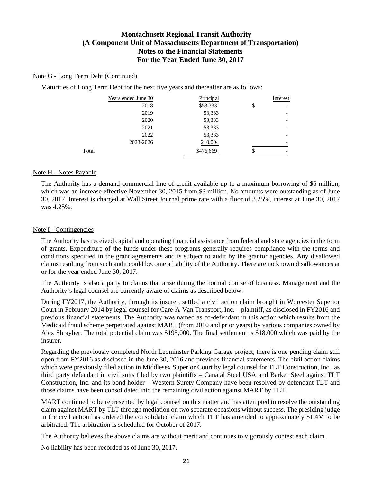#### Note G - Long Term Debt (Continued)

Maturities of Long Term Debt for the next five years and thereafter are as follows:

|       | Years ended June 30 | Principal | Interest |
|-------|---------------------|-----------|----------|
|       | 2018                | \$53,333  | \$       |
|       | 2019                | 53,333    |          |
|       | 2020                | 53,333    |          |
|       | 2021                | 53,333    |          |
|       | 2022                | 53,333    |          |
|       | 2023-2026           | 210,004   |          |
| Total |                     | \$476,669 | \$       |

#### Note H - Notes Payable

The Authority has a demand commercial line of credit available up to a maximum borrowing of \$5 million, which was an increase effective November 30, 2015 from \$3 million. No amounts were outstanding as of June 30, 2017. Interest is charged at Wall Street Journal prime rate with a floor of 3.25%, interest at June 30, 2017 was 4.25%.

#### Note I - Contingencies

The Authority has received capital and operating financial assistance from federal and state agencies in the form of grants. Expenditure of the funds under these programs generally requires compliance with the terms and conditions specified in the grant agreements and is subject to audit by the grantor agencies. Any disallowed claims resulting from such audit could become a liability of the Authority. There are no known disallowances at or for the year ended June 30, 2017.

The Authority is also a party to claims that arise during the normal course of business. Management and the Authority's legal counsel are currently aware of claims as described below:

During FY2017, the Authority, through its insurer, settled a civil action claim brought in Worcester Superior Court in February 2014 by legal counsel for Care-A-Van Transport, Inc. – plaintiff, as disclosed in FY2016 and previous financial statements. The Authority was named as co-defendant in this action which results from the Medicaid fraud scheme perpetrated against MART (from 2010 and prior years) by various companies owned by Alex Shrayber. The total potential claim was \$195,000. The final settlement is \$18,000 which was paid by the insurer.

Regarding the previously completed North Leominster Parking Garage project, there is one pending claim still open from FY2016 as disclosed in the June 30, 2016 and previous financial statements. The civil action claims which were previously filed action in Middlesex Superior Court by legal counsel for TLT Construction, Inc., as third party defendant in civil suits filed by two plaintiffs – Canatal Steel USA and Barker Steel against TLT Construction, Inc. and its bond holder – Western Surety Company have been resolved by defendant TLT and those claims have been consolidated into the remaining civil action against MART by TLT.

MART continued to be represented by legal counsel on this matter and has attempted to resolve the outstanding claim against MART by TLT through mediation on two separate occasions without success. The presiding judge in the civil action has ordered the consolidated claim which TLT has amended to approximately \$1.4M to be arbitrated. The arbitration is scheduled for October of 2017.

The Authority believes the above claims are without merit and continues to vigorously contest each claim.

No liability has been recorded as of June 30, 2017.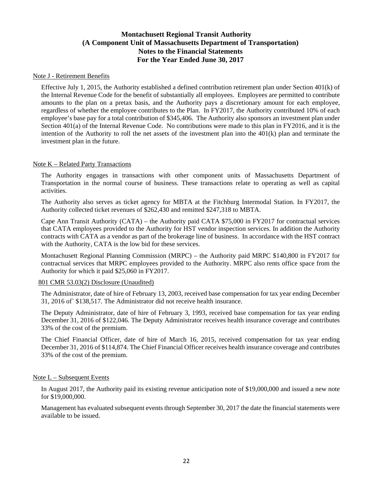#### Note J - Retirement Benefits

Effective July 1, 2015, the Authority established a defined contribution retirement plan under Section 401(k) of the Internal Revenue Code for the benefit of substantially all employees. Employees are permitted to contribute amounts to the plan on a pretax basis, and the Authority pays a discretionary amount for each employee, regardless of whether the employee contributes to the Plan. In FY2017, the Authority contributed 10% of each employee's base pay for a total contribution of \$345,406. The Authority also sponsors an investment plan under Section 401(a) of the Internal Revenue Code. No contributions were made to this plan in FY2016, and it is the intention of the Authority to roll the net assets of the investment plan into the 401(k) plan and terminate the investment plan in the future.

#### Note K – Related Party Transactions

The Authority engages in transactions with other component units of Massachusetts Department of Transportation in the normal course of business. These transactions relate to operating as well as capital activities.

The Authority also serves as ticket agency for MBTA at the Fitchburg Intermodal Station. In FY2017, the Authority collected ticket revenues of \$262,430 and remitted \$247,318 to MBTA.

Cape Ann Transit Authority (CATA) – the Authority paid CATA \$75,000 in FY2017 for contractual services that CATA employees provided to the Authority for HST vendor inspection services. In addition the Authority contracts with CATA as a vendor as part of the brokerage line of business. In accordance with the HST contract with the Authority, CATA is the low bid for these services.

Montachusett Regional Planning Commission (MRPC) – the Authority paid MRPC \$140,800 in FY2017 for contractual services that MRPC employees provided to the Authority. MRPC also rents office space from the Authority for which it paid \$25,060 in FY2017.

#### 801 CMR 53.03(2) Disclosure (Unaudited)

The Administrator, date of hire of February 13, 2003, received base compensation for tax year ending December 31, 2016 of` \$138,517. The Administrator did not receive health insurance.

The Deputy Administrator, date of hire of February 3, 1993, received base compensation for tax year ending December 31, 2016 of \$122,046. The Deputy Administrator receives health insurance coverage and contributes 33% of the cost of the premium.

The Chief Financial Officer, date of hire of March 16, 2015, received compensation for tax year ending December 31, 2016 of \$114,874. The Chief Financial Officer receives health insurance coverage and contributes 33% of the cost of the premium.

#### Note L – Subsequent Events

In August 2017, the Authority paid its existing revenue anticipation note of \$19,000,000 and issued a new note for \$19,000,000.

Management has evaluated subsequent events through September 30, 2017 the date the financial statements were available to be issued.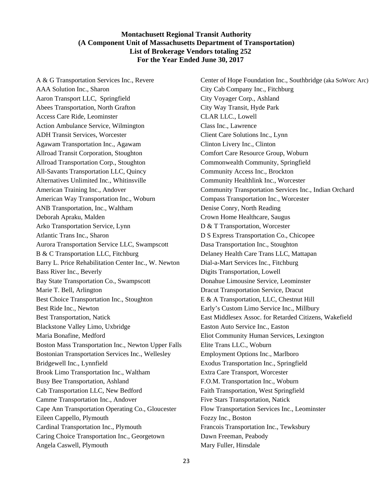## **Montachusett Regional Transit Authority (A Component Unit of Massachusetts Department of Transportation) List of Brokerage Vendors totaling 252 For the Year Ended June 30, 2017**

A & G Transportation Services Inc., Revere AAA Solution Inc., Sharon Aaron Transport LLC, Springfield Abees Transportation, North Grafton Access Care Ride, Leominster Action Ambulance Service, Wilmington ADH Transit Services, Worcester Agawam Transportation Inc., Agawam Allroad Transit Corporation, Stoughton Allroad Transportation Corp., Stoughton All-Savants Transportation LLC, Quincy Alternatives Unlimited Inc., Whitinsville American Training Inc., Andover American Way Transportation Inc., Woburn ANB Transportation, Inc., Waltham Deborah Apraku, Malden Arko Transportation Service, Lynn Atlantic Trans Inc., Sharon Aurora Transportation Service LLC, Swampscott B & C Transportation LLC, Fitchburg Barry L. Price Rehabilitation Center Inc., W. Newton Bass River Inc., Beverly Bay State Transportation Co., Swampscott Marie T. Bell, Arlington Best Choice Transportation Inc., Stoughton Best Ride Inc., Newton Best Transportation, Natick Blackstone Valley Limo, Uxbridge Maria Bonafine, Medford Boston Mass Transportation Inc., Newton Upper Falls Bostonian Transportation Services Inc., Wellesley Bridgewell Inc., Lynnfield Brook Limo Transportation Inc., Waltham Busy Bee Transportation, Ashland Cab Transportation LLC, New Bedford Camme Transportation Inc., Andover Cape Ann Transportation Operating Co., Gloucester Eileen Cappello, Plymouth Cardinal Transportation Inc., Plymouth Caring Choice Transportation Inc., Georgetown Angela Caswell, Plymouth

Center of Hope Foundation Inc., Southbridge (aka SoWorc Arc) City Cab Company Inc., Fitchburg City Voyager Corp., Ashland City Way Transit, Hyde Park CLAR LLC., Lowell Class Inc., Lawrence Client Care Solutions Inc., Lynn Clinton Livery Inc., Clinton Comfort Care Resource Group, Woburn Commonwealth Community, Springfield Community Access Inc., Brockton Community Healthlink Inc., Worcester Community Transportation Services Inc., Indian Orchard Compass Transportation Inc., Worcester Denise Conry, North Reading Crown Home Healthcare, Saugus D & T Transportation, Worcester D S Express Transportation Co., Chicopee Dasa Transportation Inc., Stoughton Delaney Health Care Trans LLC, Mattapan Dial-a-Mart Services Inc., Fitchburg Digits Transportation, Lowell Donahue Limousine Service, Leominster Dracut Transportation Service, Dracut E & A Transportation, LLC, Chestnut Hill Early's Custom Limo Service Inc., Millbury East Middlesex Assoc. for Retarded Citizens, Wakefield Easton Auto Service Inc., Easton Eliot Community Human Services, Lexington Elite Trans LLC., Woburn Employment Options Inc., Marlboro Exodus Transportation Inc., Springfield Extra Care Transport, Worcester F.O.M. Transportation Inc., Woburn Faith Transportation, West Springfield Five Stars Transportation, Natick Flow Transportation Services Inc., Leominster Fozzy Inc., Boston Francois Transportation Inc., Tewksbury Dawn Freeman, Peabody Mary Fuller, Hinsdale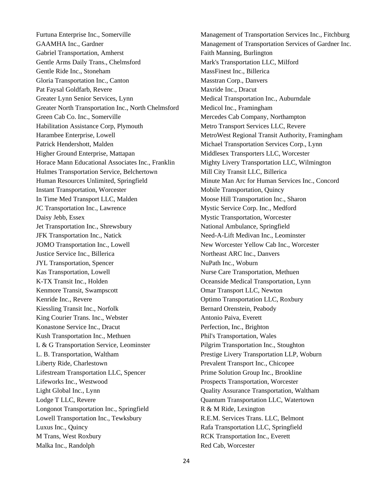Furtuna Enterprise Inc., Somerville GAAMHA Inc., Gardner Gabriel Transportation, Amherst Gentle Arms Daily Trans., Chelmsford Gentle Ride Inc., Stoneham Gloria Transportation Inc., Canton Pat Faysal Goldfarb, Revere Greater Lynn Senior Services, Lynn Greater North Transportation Inc., North Chelmsford Green Cab Co. Inc., Somerville Habilitation Assistance Corp, Plymouth Harambee Enterprise, Lowell Patrick Hendershott, Malden Higher Ground Enterprise, Mattapan Horace Mann Educational Associates Inc., Franklin Hulmes Transportation Service, Belchertown Human Resources Unlimited, Springfield Instant Transportation, Worcester In Time Med Transport LLC, Malden JC Transportation Inc., Lawrence Daisy Jebb, Essex Jet Transportation Inc., Shrewsbury JFK Transportation Inc., Natick JOMO Transportation Inc., Lowell Justice Service Inc., Billerica JYL Transportation, Spencer Kas Transportation, Lowell K-TX Transit Inc., Holden Kenmore Transit, Swampscott Kenride Inc., Revere Kiessling Transit Inc., Norfolk King Courier Trans. Inc., Webster Konastone Service Inc., Dracut Kush Transportation Inc., Methuen L & G Transportation Service, Leominster L. B. Transportation, Waltham Liberty Ride, Charlestown Lifestream Transportation LLC, Spencer Lifeworks Inc., Westwood Light Global Inc., Lynn Lodge T LLC, Revere Longonot Transportation Inc., Springfield Lowell Transportation Inc., Tewksbury Luxus Inc., Quincy M Trans, West Roxbury Malka Inc., Randolph

Management of Transportation Services Inc., Fitchburg Management of Transportation Services of Gardner Inc. Faith Manning, Burlington Mark's Transportation LLC, Milford MassFinest Inc., Billerica Masstran Corp., Danvers Maxride Inc., Dracut Medical Transportation Inc., Auburndale Medicol Inc., Framingham Mercedes Cab Company, Northampton Metro Transport Services LLC, Revere MetroWest Regional Transit Authority, Framingham Michael Transportation Services Corp., Lynn Middlesex Transporters LLC, Worcester Mighty Livery Transportation LLC, Wilmington Mill City Transit LLC, Billerica Minute Man Arc for Human Services Inc., Concord Mobile Transportation, Quincy Moose Hill Transportation Inc., Sharon Mystic Service Corp. Inc., Medford Mystic Transportation, Worcester National Ambulance, Springfield Need-A-Lift Medivan Inc., Leominster New Worcester Yellow Cab Inc., Worcester Northeast ARC Inc., Danvers NuPath Inc., Woburn Nurse Care Transportation, Methuen Oceanside Medical Transportation, Lynn Omar Transport LLC, Newton Optimo Transportation LLC, Roxbury Bernard Orenstein, Peabody Antonio Paiva, Everett Perfection, Inc., Brighton Phil's Transportation, Wales Pilgrim Transportation Inc., Stoughton Prestige Livery Transportation LLP, Woburn Prevalent Transport Inc., Chicopee Prime Solution Group Inc., Brookline Prospects Transportation, Worcester Quality Assurance Transportation, Waltham Quantum Transportation LLC, Watertown R & M Ride, Lexington R.E.M. Services Trans. LLC, Belmont Rafa Transportation LLC, Springfield RCK Transportation Inc., Everett Red Cab, Worcester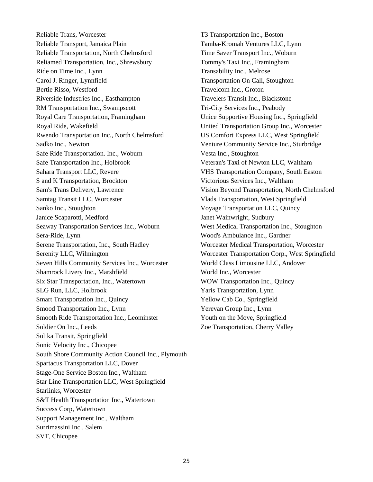Reliable Trans, Worcester Reliable Transport, Jamaica Plain Reliable Transportation, North Chelmsford Reliamed Transportation, Inc., Shrewsbury Ride on Time Inc., Lynn Carol J. Ringer, Lynnfield Bertie Risso, Westford Riverside Industries Inc., Easthampton RM Transportation Inc., Swampscott Royal Care Transportation, Framingham Royal Ride, Wakefield Rwendo Transportation Inc., North Chelmsford Sadko Inc., Newton Safe Ride Transportation. Inc., Woburn Safe Transportation Inc., Holbrook Sahara Transport LLC, Revere S and K Transportation, Brockton Sam's Trans Delivery, Lawrence Samtag Transit LLC, Worcester Sanko Inc., Stoughton Janice Scaparotti, Medford Seaway Transportation Services Inc., Woburn Sera-Ride, Lynn Serene Transportation, Inc., South Hadley Serenity LLC, Wilmington Seven Hills Community Services Inc., Worcester Shamrock Livery Inc., Marshfield Six Star Transportation, Inc., Watertown SLG Run, LLC, Holbrook Smart Transportation Inc., Quincy Smood Transportation Inc., Lynn Smooth Ride Transportation Inc., Leominster Soldier On Inc., Leeds Solika Transit, Springfield Sonic Velocity Inc., Chicopee South Shore Community Action Council Inc., Plymouth Spartacus Transportation LLC, Dover Stage-One Service Boston Inc., Waltham Star Line Transportation LLC, West Springfield Starlinks, Worcester S&T Health Transportation Inc., Watertown Success Corp, Watertown Support Management Inc., Waltham Surrimassini Inc., Salem SVT, Chicopee

T3 Transportation Inc., Boston Tamba-Kromah Ventures LLC, Lynn Time Saver Transport Inc., Woburn Tommy's Taxi Inc., Framingham Transability Inc., Melrose Transportation On Call, Stoughton Travelcom Inc., Groton Travelers Transit Inc., Blackstone Tri-City Services Inc., Peabody Unice Supportive Housing Inc., Springfield United Transportation Group Inc., Worcester US Comfort Express LLC, West Springfield Venture Community Service Inc., Sturbridge Vesta Inc., Stoughton Veteran's Taxi of Newton LLC, Waltham VHS Transportation Company, South Easton Victorious Services Inc., Waltham Vision Beyond Transportation, North Chelmsford Vlads Transportation, West Springfield Voyage Transportation LLC, Quincy Janet Wainwright, Sudbury West Medical Transportation Inc., Stoughton Wood's Ambulance Inc., Gardner Worcester Medical Transportation, Worcester Worcester Transportation Corp., West Springfield World Class Limousine LLC, Andover World Inc., Worcester WOW Transportation Inc., Quincy Yaris Transportation, Lynn Yellow Cab Co., Springfield Yerevan Group Inc., Lynn Youth on the Move, Springfield Zoe Transportation, Cherry Valley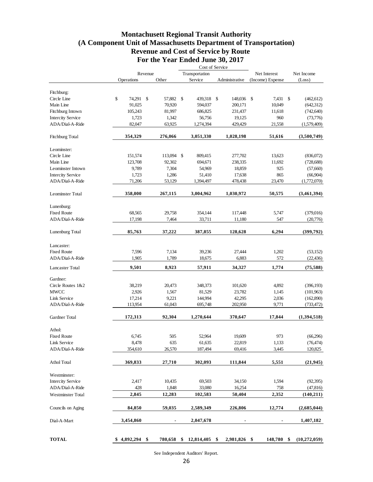## **Montachusett Regional Transit Authority (A Component Unit of Massachusetts Department of Transportation) Revenue and Cost of Service by Route For the Year Ended June 30, 2017**

|                              |                  |            |                | Cost of Service |                  |                  |  |  |
|------------------------------|------------------|------------|----------------|-----------------|------------------|------------------|--|--|
|                              | Revenue          |            | Transportation |                 | Net Interest     | Net Income       |  |  |
|                              | Operations       | Other      | Service        | Administrative  | (Income) Expense | (Loss)           |  |  |
|                              |                  |            |                |                 |                  |                  |  |  |
| Fitchburg:                   |                  |            |                |                 |                  |                  |  |  |
| Circle Line                  | \$<br>74,291 \$  | 57,882     | \$<br>439,318  | 148,036<br>\$   | 7,431<br>\$      | \$<br>(462, 612) |  |  |
| Main Line                    | 91,025           | 70,920     | 594,037        | 200,171         | 10,049           | (642, 312)       |  |  |
| Fitchburg Intown             | 105,243          | 81,997     | 686,825        | 231,437         | 11,618           | (742, 640)       |  |  |
| <b>Intercity Service</b>     | 1,723            | 1,342      | 56,756         | 19,125          | 960              | (73, 776)        |  |  |
| ADA/Dial-A-Ride              | 82,047           | 63,925     | 1,274,394      | 429,429         | 21,558           | (1,579,409)      |  |  |
|                              |                  |            |                |                 |                  |                  |  |  |
| <b>Fitchburg Total</b>       | 354,329          | 276,066    | 3,051,330      | 1,028,198       | 51,616           | (3,500,749)      |  |  |
| Leominster:                  |                  |            |                |                 |                  |                  |  |  |
| Circle Line                  | 151,574          | 113,094    | -\$<br>809,415 | 277,702         | 13,623           | (836,072)        |  |  |
| Main Line                    | 123,708          | 92,302     | 694,671        | 238,335         | 11,692           | (728, 688)       |  |  |
| Leominster Intown            | 9,789            | 7,304      | 54,969         | 18,859          | 925              | (57,660)         |  |  |
| <b>Intercity Service</b>     | 1,723            | 1,286      | 51,410         | 17,638          | 865              | (66,904)         |  |  |
| ADA/Dial-A-Ride              | 71,206           | 53,129     | 1,394,497      | 478,438         | 23,470           | (1,772,070)      |  |  |
|                              |                  |            |                |                 |                  |                  |  |  |
| Leominster Total             | 358,000          | 267,115    | 3,004,962      | 1,030,972       | 50,575           | (3,461,394)      |  |  |
| Lunenburg:                   |                  |            |                |                 |                  |                  |  |  |
| <b>Fixed Route</b>           | 68,565           | 29,758     | 354,144        | 117,448         | 5,747            | (379,016)        |  |  |
| ADA/Dial-A-Ride              | 17,198           | 7,464      | 33,711         | 11,180          | 547              | (20,776)         |  |  |
|                              |                  |            |                |                 |                  |                  |  |  |
| Lunenburg Total              | 85,763           | 37,222     | 387,855        | 128,628         | 6,294            | (399, 792)       |  |  |
| Lancaster:                   |                  |            |                |                 |                  |                  |  |  |
| <b>Fixed Route</b>           | 7,596            | 7,134      | 39,236         | 27,444          | 1,202            | (53, 152)        |  |  |
| ADA/Dial-A-Ride              | 1,905            | 1,789      | 18,675         | 6,883           | 572              | (22, 436)        |  |  |
| Lancaster Total              | 9,501            | 8,923      | 57,911         | 34,327          | 1,774            | (75, 588)        |  |  |
|                              |                  |            |                |                 |                  |                  |  |  |
| Gardner:                     |                  |            |                |                 |                  |                  |  |  |
| Circle Routes 1&2            | 38,219           | 20,473     | 348,373        | 101,620         | 4,892            | (396, 193)       |  |  |
| <b>MWCC</b>                  | 2,926            | 1,567      | 81,529         | 23,782          | 1,145            | (101,963)        |  |  |
| Link Service                 | 17,214           | 9,221      | 144,994        | 42,295          | 2,036            | (162,890)        |  |  |
| ADA/Dial-A-Ride              | 113,954          | 61,043     | 695,748        | 202,950         | 9,771            | (733, 472)       |  |  |
| Gardner Total                | 172,313          | 92,304     | 1,270,644      | 370,647         | 17,844           | (1, 394, 518)    |  |  |
|                              |                  |            |                |                 |                  |                  |  |  |
| Athol:<br><b>Fixed Route</b> | 6,745            | 505        | 52,964         | 19,609          | 973              | (66,296)         |  |  |
|                              |                  |            |                |                 |                  |                  |  |  |
| Link Service                 | 8,478            | 635        | 61,635         | 22,819          | 1,133            | (76, 474)        |  |  |
| ADA/Dial-A-Ride              | 354,610          | 26,570     | 187,494        | 69,416          | 3,445            | 120,825          |  |  |
| <b>Athol Total</b>           | 369,833          | 27,710     | 302,093        | 111,844         | 5,551            | (21, 945)        |  |  |
| Westminster:                 |                  |            |                |                 |                  |                  |  |  |
| <b>Intercity Service</b>     | 2,417            | 10,435     | 69,503         | 34,150          | 1,594            | (92, 395)        |  |  |
|                              |                  |            |                |                 |                  |                  |  |  |
| ADA/Dial-A-Ride              | 428              | 1,848      | 33,080         | 16,254          | 758              | (47, 816)        |  |  |
| Westminster Total            | 2,845            | 12,283     | 102,583        | 50,404          | 2,352            | (140,211)        |  |  |
| Councils on Aging            | 84,850           | 59,035     | 2,589,349      | 226,806         | 12,774           | (2,685,044)      |  |  |
| Dial-A-Mart                  | 3,454,860        |            | 2,047,678      |                 |                  | 1,407,182        |  |  |
|                              |                  |            |                |                 |                  |                  |  |  |
| <b>TOTAL</b>                 | $$4,892,294$ \\$ | 780,658 \$ | 12,814,405 \$  | 2,981,826 \$    | 148,780 \$       | (10, 272, 059)   |  |  |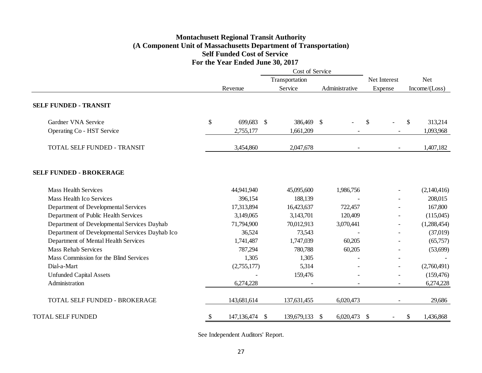## **Montachusett Regional Transit Authority (A Component Unit of Massachusetts Department of Transportation) Self Funded Cost of Service For the Year Ended June 30, 2017**

|                                                 |    | Cost of Service |               |                |    |                |    |              |    |               |
|-------------------------------------------------|----|-----------------|---------------|----------------|----|----------------|----|--------------|----|---------------|
|                                                 |    |                 |               | Transportation |    |                |    | Net Interest |    | <b>Net</b>    |
|                                                 |    | Revenue         |               | Service        |    | Administrative |    | Expense      |    | Income/(Loss) |
| <b>SELF FUNDED - TRANSIT</b>                    |    |                 |               |                |    |                |    |              |    |               |
| Gardner VNA Service                             | \$ | 699,683 \$      |               | 386,469 \$     |    |                | \$ |              | \$ | 313,214       |
| Operating Co - HST Service                      |    | 2,755,177       |               | 1,661,209      |    |                |    |              |    | 1,093,968     |
| TOTAL SELF FUNDED - TRANSIT                     |    | 3,454,860       |               | 2,047,678      |    |                |    |              |    | 1,407,182     |
| <b>SELF FUNDED - BROKERAGE</b>                  |    |                 |               |                |    |                |    |              |    |               |
| <b>Mass Health Services</b>                     |    | 44,941,940      |               | 45,095,600     |    | 1,986,756      |    |              |    | (2,140,416)   |
| Mass Health Ico Services                        |    | 396,154         |               | 188,139        |    |                |    |              |    | 208,015       |
| Department of Developmental Services            |    | 17,313,894      |               | 16,423,637     |    | 722,457        |    |              |    | 167,800       |
| Department of Public Health Services            |    | 3,149,065       |               | 3,143,701      |    | 120,409        |    |              |    | (115,045)     |
| Department of Developmental Services Dayhab     |    | 71,794,900      |               | 70,012,913     |    | 3,070,441      |    |              |    | (1,288,454)   |
| Department of Developmental Services Dayhab Ico |    | 36,524          |               | 73,543         |    |                |    |              |    | (37,019)      |
| Department of Mental Health Services            |    | 1,741,487       |               | 1,747,039      |    | 60,205         |    |              |    | (65,757)      |
| <b>Mass Rehab Services</b>                      |    | 787,294         |               | 780,788        |    | 60,205         |    |              |    | (53,699)      |
| Mass Commission for the Blind Services          |    | 1,305           |               | 1,305          |    |                |    |              |    |               |
| Dial-a-Mart                                     |    | (2,755,177)     |               | 5,314          |    |                |    |              |    | (2,760,491)   |
| <b>Unfunded Capital Assets</b>                  |    |                 |               | 159,476        |    |                |    |              |    | (159, 476)    |
| Administration                                  |    | 6,274,228       |               |                |    |                |    |              |    | 6,274,228     |
| TOTAL SELF FUNDED - BROKERAGE                   |    | 143,681,614     |               | 137,631,455    |    | 6,020,473      |    |              |    | 29,686        |
| <b>TOTAL SELF FUNDED</b>                        | S  | 147, 136, 474   | <sup>\$</sup> | 139,679,133    | -S | 6,020,473      | \$ |              | \$ | 1,436,868     |

See Independent Auditors' Report.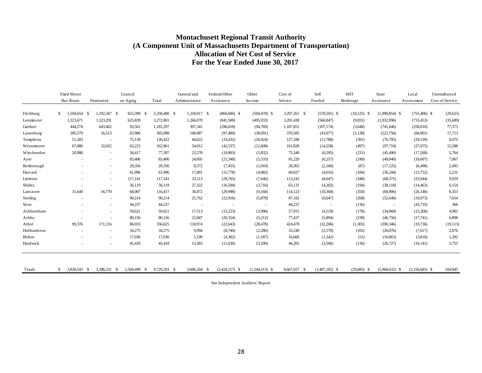## **Montachusett Regional Transit Authority (A Component Unit of Massachusetts Department of Transportation) Allocation of Net Cost of Service For the Year Ended June 30, 2017**

|             | Fixed Motor                   |             | Council                  |              |              | General and    | Federal/Other    | Other            | Cost of      | Self   |                  | <b>HST</b>     | State            | Local            | Unreimbursed    |
|-------------|-------------------------------|-------------|--------------------------|--------------|--------------|----------------|------------------|------------------|--------------|--------|------------------|----------------|------------------|------------------|-----------------|
|             | <b>Bus Route</b>              | Paratransit | on Aging                 |              | Total        | Administrative | Assistance       | Income           | Service      | Funded |                  | Brokerage      | Assistance       | Assessment       | Cost of Service |
|             |                               |             |                          |              |              |                |                  |                  |              |        |                  |                |                  |                  |                 |
| Fitchburg   | 1,504,654 \$<br><sup>\$</sup> |             | 1,192,347 \$             | 653,399 \$   | 3,350,400 \$ | 1,318,017 \$   | $(866, 686)$ \$  | $(504, 470)$ \$  | 3,297,261 \$ |        | $(570, 501)$ \$  | $(10, 125)$ \$ | $(1,990,854)$ \$ | $(755, 406)$ \$  | (29, 625)       |
| Leominster  | 1,323,671                     | 1,323,291   |                          | 625,839      | 3,272,801    | 1,266,070      | (841,500)        | (495, 933)       | 3,201,438    |        | (560, 847)       | (9,831)        | (1,932,996)      | (733, 453)       | (35,689)        |
| Gardner     | 444,274                       | 643,462     |                          | 93,561       | 1,181,297    | 397,341        | (296, 018)       | (94,769)         | 1,187,851    |        | (107, 174)       | (3,648)        | (741, 646)       | (258,010)        | 77,373          |
| Lunenburg   | 285,579                       |             | 16,513                   | 63,906       | 365,998      | 140,087        | (97, 409)        | (38,091)         | 370,585      |        | (43,077)         | (1, 138)       | (223,756)        | (84,901)         | 17,713          |
| Templeton   | 51,283                        |             | $\sim$                   | 75,139       | 126,422      | 44,622         | (33, 432)        | (10, 424)        | 127,188      |        | (11,788)         | (391)          | (76, 795)        | (29, 139)        | 9,075           |
| Westminster | 67,086                        | 32,652      |                          | 63,223       | 162,961      | 54,012         | (42, 537)        | (12,608)         | 161,828      |        | (14,258)         | (497)          | (97,710)         | (37,075)         | 12,288          |
| Winchendon  | 20,980                        |             | $\overline{\phantom{a}}$ | 56,417       | 77,397       | 23,578         | (19, 803)        | (5,832)          | 75,340       |        | (6, 595)         | (231)          | (45, 490)        | (17,260)         | 5,764           |
| Ayer        |                               |             | $\sim$                   | 83,406       | 83,406       | 24,695         | (21, 348)        | (5,533)          | 81,220       |        | (6,257)          | (249)          | (49,040)         | (18,607)         | 7,067           |
| Boxborough  |                               |             | $\overline{\phantom{a}}$ | 29,356       | 29,356       | 8,372          | (7, 455)         | (1,910)          | 28,363       |        | (2,160)          | (87)           | (17, 125)        | (6,498)          | 2,493           |
| Harvard     |                               |             | $\overline{\phantom{a}}$ | 61,996       | 61,996       | 17,891         | (15,778)         | (4,082)          | 60,027       |        | (4,616)          | (184)          | (36,244)         | (13,752)         | 5,231           |
| Littleton   |                               |             | $\overline{\phantom{a}}$ | 117,141      | 117,141      | 33,513         | (29,765)         | (7,646)          | 113,243      |        | (8,647)          | (348)          | (68, 375)        | (25,944)         | 9,929           |
| Shirley     |                               |             | $\overline{\phantom{a}}$ | 56,119       | 56,119       | 27,322         | (16,594)         | (3,716)          | 63,131       |        | (4,202)          | (194)          | (38, 118)        | (14, 463)        | 6,154           |
| Lancaster   | 31,640                        |             | 16,770                   | 68,007       | 116,417      | 36,872         | (29,998)         | (9,168)          | 114,123      |        | (10, 368)        | (350)          | (68,906)         | (26, 146)        | 8,353           |
| Sterling    |                               |             | $\overline{\phantom{a}}$ | 90,214       | 90,214       | 25,762         | (22,916)         | (5,878)          | 87,182       |        | (6,647)          | (268)          | (52, 640)        | (19, 973)        | 7,654           |
| Stow        |                               |             | $\overline{\phantom{a}}$ | 44,237       | 44,237       |                |                  |                  | 44,237       |        |                  | (136)          | $\sim$           | (43,735)         | 366             |
| Ashburnham  |                               |             | $\overline{\phantom{a}}$ | 59,621       | 59,621       | 17,513         | (15,223)         | (3,996)          | 57,915       |        | (4,519)          | (178)          | (34,969)         | (13,268)         | 4,981           |
| Ashby       |                               |             | $\sim$                   | 80,156       | 80,156       | 22,847         | (20, 354)        | (5,212)          | 77,437       |        | (5,894)          | (238)          | (46,756)         | (17,741)         | 6,808           |
| Athol       | 99,376                        | 171,216     |                          | 86,033       | 356,625      | 118,974        | (22, 643)        | (28, 478)        | 424,478      |        | (32,206)         | (1,303)        | (390, 346)       | (19,736)         | (19, 113)       |
| Hubbardston |                               |             | $\overline{\phantom{a}}$ | 34,275       | 34,275       | 9,994          | (8,740)          | (2,280)          | 33,249       |        | (2,578)          | (102)          | (20,076)         | (7,617)          | 2,876           |
| Bolton      |                               |             | $\overline{\phantom{a}}$ | 17,036       | 17,036       | 5,199          | (4,382)          | (1,187)          | 16,666       |        | (1,342)          | (51)           | (10,063)         | (3,818)          | 1,392           |
| Hardwick    |                               |             | $\overline{\phantom{a}}$ | 45,418       | 45,418       | 13,583         | (11,636)         | (3,100)          | 44,265       |        | (3,506)          | (136)          | (26, 727)        | (10, 141)        | 3,755           |
|             |                               |             |                          |              |              |                |                  |                  |              |        |                  |                |                  |                  |                 |
|             |                               |             |                          |              |              |                |                  |                  |              |        |                  |                |                  |                  |                 |
| Totals      | 3,828,543 \$<br><sup>S</sup>  |             | 3,396,251 \$             | 2,504,499 \$ | 9,729,293 \$ | 3,606,264 \$   | $(2,424,217)$ \$ | $(1,244,313)$ \$ | 9,667,027 \$ |        | $(1,407,182)$ \$ | $(29,685)$ \$  | $(5,968,632)$ \$ | $(2,156,683)$ \$ | 104,845         |

See Independent Auditors' Report.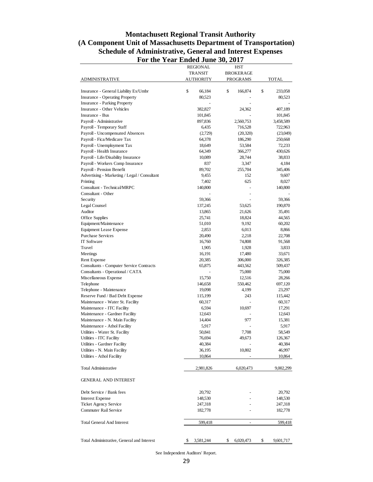## **Montachusett Regional Transit Authority (A Component Unit of Massachusetts Department of Transportation) Schedule of Administrative, General and Interest Expenses For the Year Ended June 30, 2017**

|                                              | REGIONAL<br>TRANSIT | HST<br><b>BROKERAGE</b> |                 |
|----------------------------------------------|---------------------|-------------------------|-----------------|
| <b>ADMINISTRATIVE</b>                        | <b>AUTHORITY</b>    | <b>PROGRAMS</b>         | <b>TOTAL</b>    |
| Insurance - General Liability Ex/Umbr        | \$<br>66,184        | \$<br>166,874           | \$<br>233,058   |
| Insurance - Operating Property               | 80,523              |                         | 80,523          |
| <b>Insurance - Parking Property</b>          |                     |                         |                 |
| Insurance - Other Vehicles                   | 382,827             | 24,362                  | 407,189         |
| Insurance - Bus                              | 101,845             |                         | 101,845         |
| Payroll - Administrative                     | 897,836             | 2,560,753               | 3,458,589       |
| Payroll - Temporary Staff                    | 6.435               | 716,528                 | 722,963         |
| Payroll - Uncompensated Absences             | (2,729)             | (20,320)                | (23,049)        |
| Payroll - Fica/Medicare Tax                  | 64,378              | 186,290                 | 250,668         |
| Payroll - Unemployment Tax                   | 18,649              | 53,584                  | 72,233          |
| Payroll - Health Insurance                   | 64,349              | 366,277                 | 430,626         |
| Payroll - Life/Disability Insurance          | 10,089              | 28,744                  | 38,833          |
| Payroll - Workers Comp Insurance             | 837                 | 3,347                   | 4,184           |
| Payroll - Pension Benefit                    | 89,702              | 255,704                 | 345,406         |
| Advertising - Marketing / Legal / Consultant | 9,455               | 152<br>625              | 9,607<br>8,027  |
| Printing<br>Consultant - Technical/MRPC      | 7,402<br>140,800    |                         | 140,800         |
| Consultant - Other                           |                     |                         |                 |
| Security                                     | 59,366              |                         | 59,366          |
| Legal Counsel                                | 137,245             | 53,625                  | 190,870         |
| Auditor                                      | 13,865              | 21,626                  | 35,491          |
| Office Supplies                              | 25,741              | 18,824                  | 44,565          |
| Equipment/Maintenance                        | 51,010              | 9,192                   | 60,202          |
| <b>Equipment Lease Expense</b>               | 2,853               | 6,013                   | 8,866           |
| <b>Purchase Services</b>                     | 20,490              | 2,218                   | 22,708          |
| <b>IT Software</b>                           | 16,760              | 74,808                  | 91,568          |
| Travel                                       | 1,905               | 1,928                   | 3,833           |
| Meetings                                     | 16,191              | 17,480                  | 33,671          |
| Rent Expense                                 | 20,385              | 306,000                 | 326,385         |
| Consultants - Computer Service Contracts     | 65,875              | 443,562                 | 509,437         |
| Consultants - Operational / CATA             |                     | 75,000                  | 75,000          |
| Miscellaneous Expense                        | 15,750              | 12,516                  | 28,266          |
| Telephone                                    | 146,658             | 550,462                 | 697,120         |
| Telephone - Maintenance                      | 19,098              | 4,199                   | 23,297          |
| Reserve Fund / Bad Debt Expense              | 115,199             | 243                     | 115,442         |
| Maintenance - Water St. Facility             | 60,317              |                         | 60,317          |
| Maintenance - ITC Facility                   | 6,594               | 10,697                  | 17,291          |
| Maintenance - Gardner Facility               | 12,643              |                         | 12,643          |
| Maintenance - N. Main Facility               | 14,404              | 977                     | 15,381          |
| Maintenance - Athol Facility                 | 5.917               |                         | 5,917           |
| Utilities - Water St. Facility               | 50,841              | 7,708                   | 58,549          |
| Utilities - ITC Facility                     | 76,694              | 49,673                  | 126,367         |
| Utilities - Gardner Facility                 | 40,384              |                         | 40,384          |
| Utilities - N. Main Facility                 | 36,195              | 10,802                  | 46,997          |
| Utilities - Athol Facility                   | 10,864              |                         | 10,864          |
| <b>Total Administrative</b>                  | 2,981,826           | 6,020,473               | 9,002,299       |
| <b>GENERAL AND INTEREST</b>                  |                     |                         |                 |
| Debt Service / Bank fees                     | 20,792              |                         | 20,792          |
| <b>Interest Expense</b>                      | 148,530             |                         | 148,530         |
| Ticket Agency Service                        | 247,318             |                         | 247,318         |
| Commuter Rail Service                        | 182,778             |                         | 182,778         |
|                                              |                     |                         |                 |
| <b>Total General And Interest</b>            | 599,418             | ÷,                      | 599,418         |
|                                              |                     |                         |                 |
| Total Administrative, General and Interest   | 3,581,244<br>\$     | \$<br>6,020,473         | 9,601,717<br>\$ |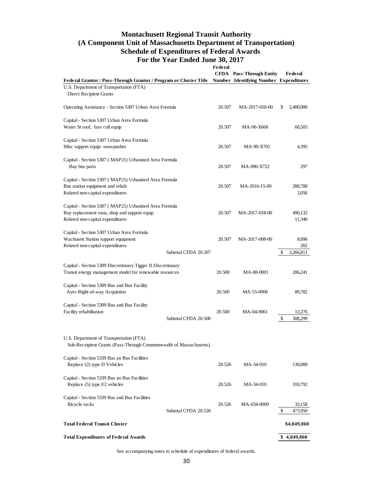## **Montachusett Regional Transit Authority (A Component Unit of Massachusetts Department of Transportation) Schedule of Expenditures of Federal Awards For the Year Ended June 30, 2017**

| Federal Grantor / Pass-Through Grantor / Program or Cluster Title   |                      | Federal | <b>CFDA</b> Pass-Through Entity<br><b>Number Identifying Number Expenditures</b> |    | Federal           |
|---------------------------------------------------------------------|----------------------|---------|----------------------------------------------------------------------------------|----|-------------------|
| U.S. Department of Transportation (FTA)                             |                      |         |                                                                                  |    |                   |
| Direct Recipient Grants                                             |                      |         |                                                                                  |    |                   |
| Operating Assistance - Section 5307 Urban Area Formula              |                      | 20.507  | MA-2017-018-00                                                                   | S  | 2,400,000         |
| Capital - Section 5307 Urban Area Formula                           |                      |         |                                                                                  |    |                   |
| Water St roof, fare coll equip                                      |                      | 20.507  | MA-90-X668                                                                       |    | 60,505            |
|                                                                     |                      |         |                                                                                  |    |                   |
| Capital - Section 5307 Urban Area Formula                           |                      |         |                                                                                  |    |                   |
| Misc support equip-snowpusher                                       |                      | 20.507  | MA-90-X705                                                                       |    | 4,395             |
|                                                                     |                      |         |                                                                                  |    |                   |
| Capital - Section 5307 (MAP21) Urbanized Area Formula               |                      |         |                                                                                  |    |                   |
| Buy bus parts                                                       |                      | 20.507  | MA-090-X722                                                                      |    | 297               |
|                                                                     |                      |         |                                                                                  |    |                   |
| Capital - Section 5307 (MAP21) Urbanized Area Formula               |                      |         |                                                                                  |    |                   |
| Bus station equipment and rehab<br>Related non-capital expenditures |                      | 20.507  | MA-2016-15-00                                                                    |    | 288,788<br>3,056  |
|                                                                     |                      |         |                                                                                  |    |                   |
| Capital - Section 5307 (MAP21) Urbanized Area Formula               |                      |         |                                                                                  |    |                   |
| Buy replacement vans, shop and support equip                        |                      | 20.507  | MA-2017-018-00                                                                   |    | 490,132           |
| Related non-capital expenditures                                    |                      |         |                                                                                  |    | 11,340            |
|                                                                     |                      |         |                                                                                  |    |                   |
| Capital - Section 5307 Urban Area Formula                           |                      |         |                                                                                  |    |                   |
| Wachusett Station support equipment                                 |                      | 20.507  | MA-2017-008-00                                                                   |    | 8,096             |
| Related non-capital expenditures                                    |                      |         |                                                                                  |    | 202               |
|                                                                     | Subtotal CFDA 20.507 |         |                                                                                  | \$ | 3,266,811         |
| Capital - Section 5309 Discretionary Tigger II Discretionary        |                      |         |                                                                                  |    |                   |
| Transit energy management model for renewable resources             |                      | 20.500  | MA-88-0001                                                                       |    | 206,241           |
|                                                                     |                      |         |                                                                                  |    |                   |
| Capital - Section 5309 Bus and Bus Facility                         |                      |         |                                                                                  |    |                   |
| Ayer-Right-of-way Acquistion                                        |                      | 20.500  | MA-55-0006                                                                       |    | 89,782            |
|                                                                     |                      |         |                                                                                  |    |                   |
| Capital - Section 5309 Bus and Bus Facility                         |                      |         |                                                                                  |    |                   |
| Facility rehabilitation                                             | Subtotal CFDA 20.500 | 20.500  | MA-04-0061                                                                       | \$ | 12,276<br>308,299 |
|                                                                     |                      |         |                                                                                  |    |                   |
| U.S. Department of Transportation (FTA)                             |                      |         |                                                                                  |    |                   |
| Sub-Receipient Grants (Pass-Through Commonwealth of Massachusetts)  |                      |         |                                                                                  |    |                   |
|                                                                     |                      |         |                                                                                  |    |                   |
| Capital - Section 5339 Bus an Bus Facilities                        |                      |         |                                                                                  |    |                   |
| Replace (2) type D Vehicles                                         |                      | 20.526  | MA-34-010                                                                        |    | 130,000           |
| Capital - Section 5339 Bus an Bus Facilities                        |                      |         |                                                                                  |    |                   |
| Replace (5) type E2 vehicles                                        |                      | 20.526  | MA-34-010                                                                        |    | 310,792           |
|                                                                     |                      |         |                                                                                  |    |                   |
| Capital - Section 5339 Bus and Bus Facilities                       |                      |         |                                                                                  |    |                   |
| Bicycle racks                                                       |                      | 20.526  | MA-034-0009                                                                      |    | 33,158            |
|                                                                     | Subtotal CFDA 20.526 |         |                                                                                  | \$ | 473,950           |
| <b>Total Federal Transit Cluster</b>                                |                      |         |                                                                                  |    | \$4,049,060       |
|                                                                     |                      |         |                                                                                  |    |                   |
| <b>Total Expenditures of Federal Awards</b>                         |                      |         |                                                                                  |    | \$4,049,060       |

See accompanying notes to schedule of expenditures of federal awards.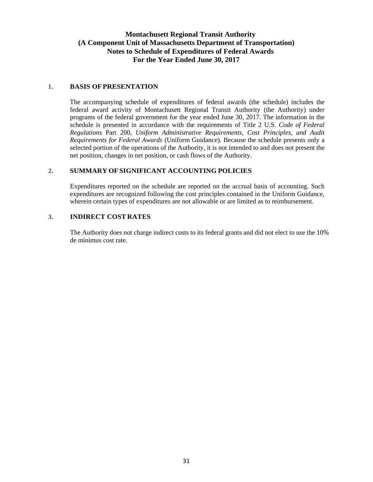## **Montachusett Regional Transit Authority (A Component Unit of Massachusetts Department of Transportation) Notes to Schedule of Expenditures of Federal Awards For the Year Ended June 30, 2017**

#### **1. BASIS OF PRESENTATION**

The accompanying schedule of expenditures of federal awards (the schedule) includes the federal award activity of Montachusett Regional Transit Authority (the Authority) under programs of the federal government for the year ended June 30, 2017. The information in the schedule is presented in accordance with the requirements of Title 2 U.S. *Code of Federal Regulations* Part 200, *Uniform Administrative Requirements, Cost Principles, and Audit Requirements for Federal Awards* (Uniform Guidance). Because the schedule presents only a selected portion of the operations of the Authority, it is not intended to and does not present the net position, changes in net position, or cash flows of the Authority.

#### **2. SUMMARY OF SIGNIFICANT ACCOUNTING POLICIES**

Expenditures reported on the schedule are reported on the accrual basis of accounting. Such expenditures are recognized following the cost principles contained in the Uniform Guidance, wherein certain types of expenditures are not allowable or are limited as to reimbursement.

#### **3. INDIRECT COST RATES**

The Authority does not charge indirect costs to its federal grants and did not elect to use the 10% de minimus cost rate.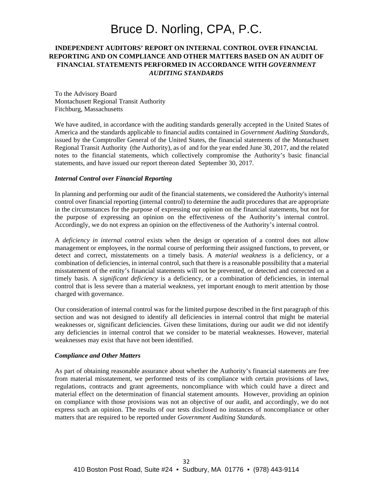## Bruce D. Norling, CPA, P.C.

## **INDEPENDENT AUDITORS' REPORT ON INTERNAL CONTROL OVER FINANCIAL REPORTING AND ON COMPLIANCE AND OTHER MATTERS BASED ON AN AUDIT OF FINANCIAL STATEMENTS PERFORMED IN ACCORDANCE WITH** *GOVERNMENT AUDITING STANDARDS*

To the Advisory Board Montachusett Regional Transit Authority Fitchburg, Massachusetts

We have audited, in accordance with the auditing standards generally accepted in the United States of America and the standards applicable to financial audits contained in *Government Auditing Standards,*  issued by the Comptroller General of the United States, the financial statements of the Montachusett Regional Transit Authority (the Authority), as of and for the year ended June 30, 2017, and the related notes to the financial statements, which collectively compromise the Authority's basic financial statements, and have issued our report thereon dated September 30, 2017.

#### *Internal Control over Financial Reporting*

In planning and performing our audit of the financial statements, we considered the Authority's internal control over financial reporting (internal control) to determine the audit procedures that are appropriate in the circumstances for the purpose of expressing our opinion on the financial statements, but not for the purpose of expressing an opinion on the effectiveness of the Authority's internal control. Accordingly, we do not express an opinion on the effectiveness of the Authority's internal control.

A *deficiency in internal control* exists when the design or operation of a control does not allow management or employees, in the normal course of performing their assigned functions, to prevent, or detect and correct, misstatements on a timely basis. A *material weakness* is a deficiency, or a combination of deficiencies, in internal control, such that there is a reasonable possibility that a material misstatement of the entity's financial statements will not be prevented, or detected and corrected on a timely basis. A *significant deficiency* is a deficiency, or a combination of deficiencies, in internal control that is less severe than a material weakness, yet important enough to merit attention by those charged with governance.

Our consideration of internal control was for the limited purpose described in the first paragraph of this section and was not designed to identify all deficiencies in internal control that might be material weaknesses or, significant deficiencies. Given these limitations, during our audit we did not identify any deficiencies in internal control that we consider to be material weaknesses. However, material weaknesses may exist that have not been identified.

#### *Compliance and Other Matters*

As part of obtaining reasonable assurance about whether the Authority's financial statements are free from material misstatement, we performed tests of its compliance with certain provisions of laws, regulations, contracts and grant agreements, noncompliance with which could have a direct and material effect on the determination of financial statement amounts. However, providing an opinion on compliance with those provisions was not an objective of our audit, and accordingly, we do not express such an opinion. The results of our tests disclosed no instances of noncompliance or other matters that are required to be reported under *Government Auditing Standards.*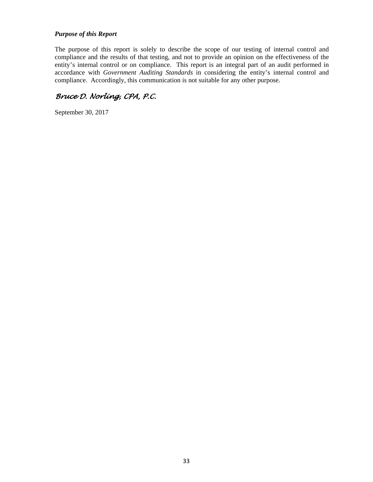#### *Purpose of this Report*

The purpose of this report is solely to describe the scope of our testing of internal control and compliance and the results of that testing, and not to provide an opinion on the effectiveness of the entity's internal control or on compliance. This report is an integral part of an audit performed in accordance with *Government Auditing Standards* in considering the entity's internal control and compliance. Accordingly, this communication is not suitable for any other purpose.

## *Bruce D. Norling, CPA, P.C.*

September 30, 2017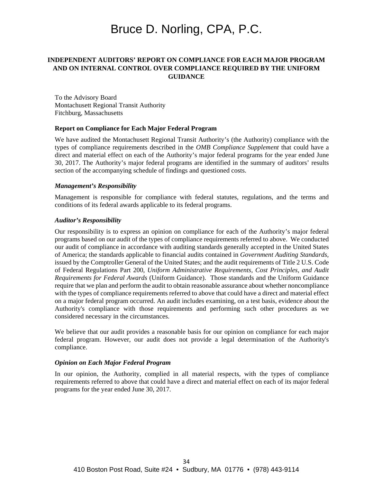## Bruce D. Norling, CPA, P.C.

### **INDEPENDENT AUDITORS' REPORT ON COMPLIANCE FOR EACH MAJOR PROGRAM AND ON INTERNAL CONTROL OVER COMPLIANCE REQUIRED BY THE UNIFORM GUIDANCE**

To the Advisory Board Montachusett Regional Transit Authority Fitchburg, Massachusetts

#### **Report on Compliance for Each Major Federal Program**

We have audited the Montachusett Regional Transit Authority's (the Authority) compliance with the types of compliance requirements described in the *OMB Compliance Supplement* that could have a direct and material effect on each of the Authority's major federal programs for the year ended June 30, 2017. The Authority's major federal programs are identified in the summary of auditors' results section of the accompanying schedule of findings and questioned costs.

#### *Management's Responsibility*

Management is responsible for compliance with federal statutes, regulations, and the terms and conditions of its federal awards applicable to its federal programs.

#### *Auditor's Responsibility*

Our responsibility is to express an opinion on compliance for each of the Authority's major federal programs based on our audit of the types of compliance requirements referred to above. We conducted our audit of compliance in accordance with auditing standards generally accepted in the United States of America; the standards applicable to financial audits contained in *Government Auditing Standards,*  issued by the Comptroller General of the United States; and the audit requirements of Title 2 U.S. Code of Federal Regulations Part 200, *Uniform Administrative Requirements, Cost Principles, and Audit Requirements for Federal Awards* (Uniform Guidance). Those standards and the Uniform Guidance require that we plan and perform the audit to obtain reasonable assurance about whether noncompliance with the types of compliance requirements referred to above that could have a direct and material effect on a major federal program occurred. An audit includes examining, on a test basis, evidence about the Authority's compliance with those requirements and performing such other procedures as we considered necessary in the circumstances.

We believe that our audit provides a reasonable basis for our opinion on compliance for each major federal program. However, our audit does not provide a legal determination of the Authority's compliance.

#### *Opinion on Each Major Federal Program*

In our opinion, the Authority, complied in all material respects, with the types of compliance requirements referred to above that could have a direct and material effect on each of its major federal programs for the year ended June 30, 2017.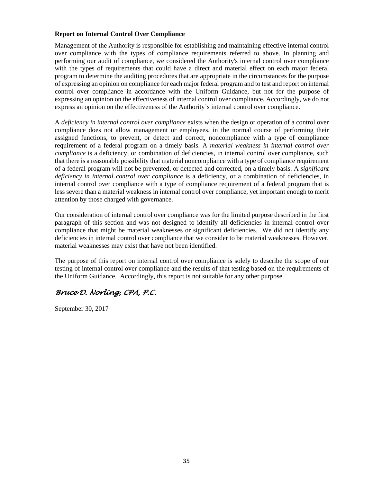#### **Report on Internal Control Over Compliance**

Management of the Authority is responsible for establishing and maintaining effective internal control over compliance with the types of compliance requirements referred to above. In planning and performing our audit of compliance, we considered the Authority's internal control over compliance with the types of requirements that could have a direct and material effect on each major federal program to determine the auditing procedures that are appropriate in the circumstances for the purpose of expressing an opinion on compliance for each major federal program and to test and report on internal control over compliance in accordance with the Uniform Guidance, but not for the purpose of expressing an opinion on the effectiveness of internal control over compliance. Accordingly, we do not express an opinion on the effectiveness of the Authority's internal control over compliance.

A *deficiency in internal control over compliance* exists when the design or operation of a control over compliance does not allow management or employees, in the normal course of performing their assigned functions, to prevent, or detect and correct, noncompliance with a type of compliance requirement of a federal program on a timely basis. A *material weakness in internal control over compliance* is a deficiency, or combination of deficiencies, in internal control over compliance, such that there is a reasonable possibility that material noncompliance with a type of compliance requirement of a federal program will not be prevented, or detected and corrected, on a timely basis. A *significant deficiency in internal control over compliance* is a deficiency, or a combination of deficiencies, in internal control over compliance with a type of compliance requirement of a federal program that is less severe than a material weakness in internal control over compliance, yet important enough to merit attention by those charged with governance.

Our consideration of internal control over compliance was for the limited purpose described in the first paragraph of this section and was not designed to identify all deficiencies in internal control over compliance that might be material weaknesses or significant deficiencies. We did not identify any deficiencies in internal control over compliance that we consider to be material weaknesses. However, material weaknesses may exist that have not been identified.

The purpose of this report on internal control over compliance is solely to describe the scope of our testing of internal control over compliance and the results of that testing based on the requirements of the Uniform Guidance. Accordingly, this report is not suitable for any other purpose.

## *Bruce D. Norling, CPA, P.C.*

September 30, 2017